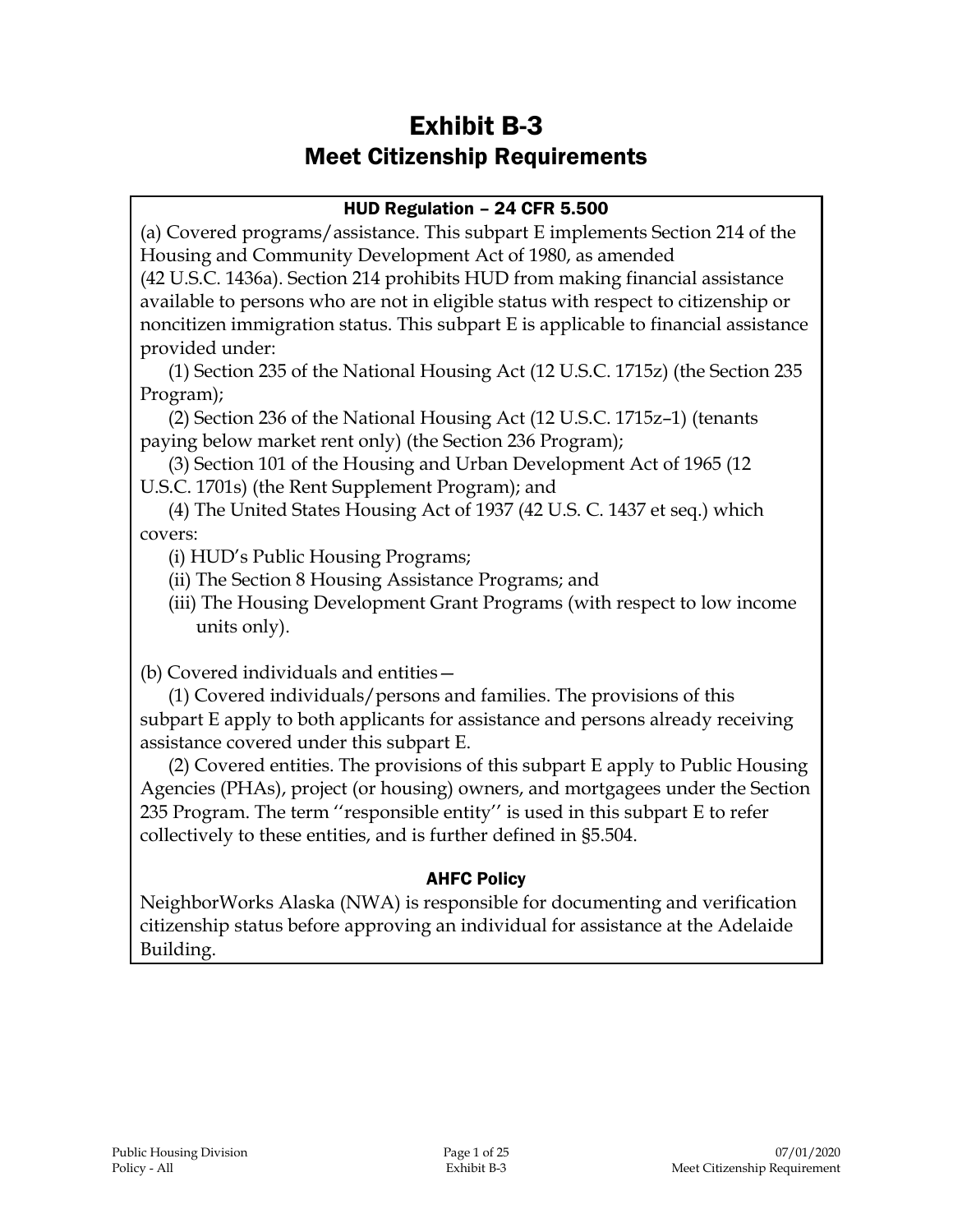# Exhibit B-3 Meet Citizenship Requirements

#### HUD Regulation – 24 CFR 5.500

(a) Covered programs/assistance. This subpart E implements Section 214 of the Housing and Community Development Act of 1980, as amended

(42 U.S.C. 1436a). Section 214 prohibits HUD from making financial assistance available to persons who are not in eligible status with respect to citizenship or noncitizen immigration status. This subpart E is applicable to financial assistance provided under:

(1) Section 235 of the National Housing Act (12 U.S.C. 1715z) (the Section 235 Program);

(2) Section 236 of the National Housing Act (12 U.S.C. 1715z–1) (tenants paying below market rent only) (the Section 236 Program);

(3) Section 101 of the Housing and Urban Development Act of 1965 (12 U.S.C. 1701s) (the Rent Supplement Program); and

(4) The United States Housing Act of 1937 (42 U.S. C. 1437 et seq.) which covers:

(i) HUD's Public Housing Programs;

(ii) The Section 8 Housing Assistance Programs; and

(iii) The Housing Development Grant Programs (with respect to low income units only).

(b) Covered individuals and entities—

(1) Covered individuals/persons and families. The provisions of this subpart E apply to both applicants for assistance and persons already receiving assistance covered under this subpart E.

(2) Covered entities. The provisions of this subpart E apply to Public Housing Agencies (PHAs), project (or housing) owners, and mortgagees under the Section 235 Program. The term ''responsible entity'' is used in this subpart E to refer collectively to these entities, and is further defined in §5.504.

## AHFC Policy

NeighborWorks Alaska (NWA) is responsible for documenting and verification citizenship status before approving an individual for assistance at the Adelaide Building.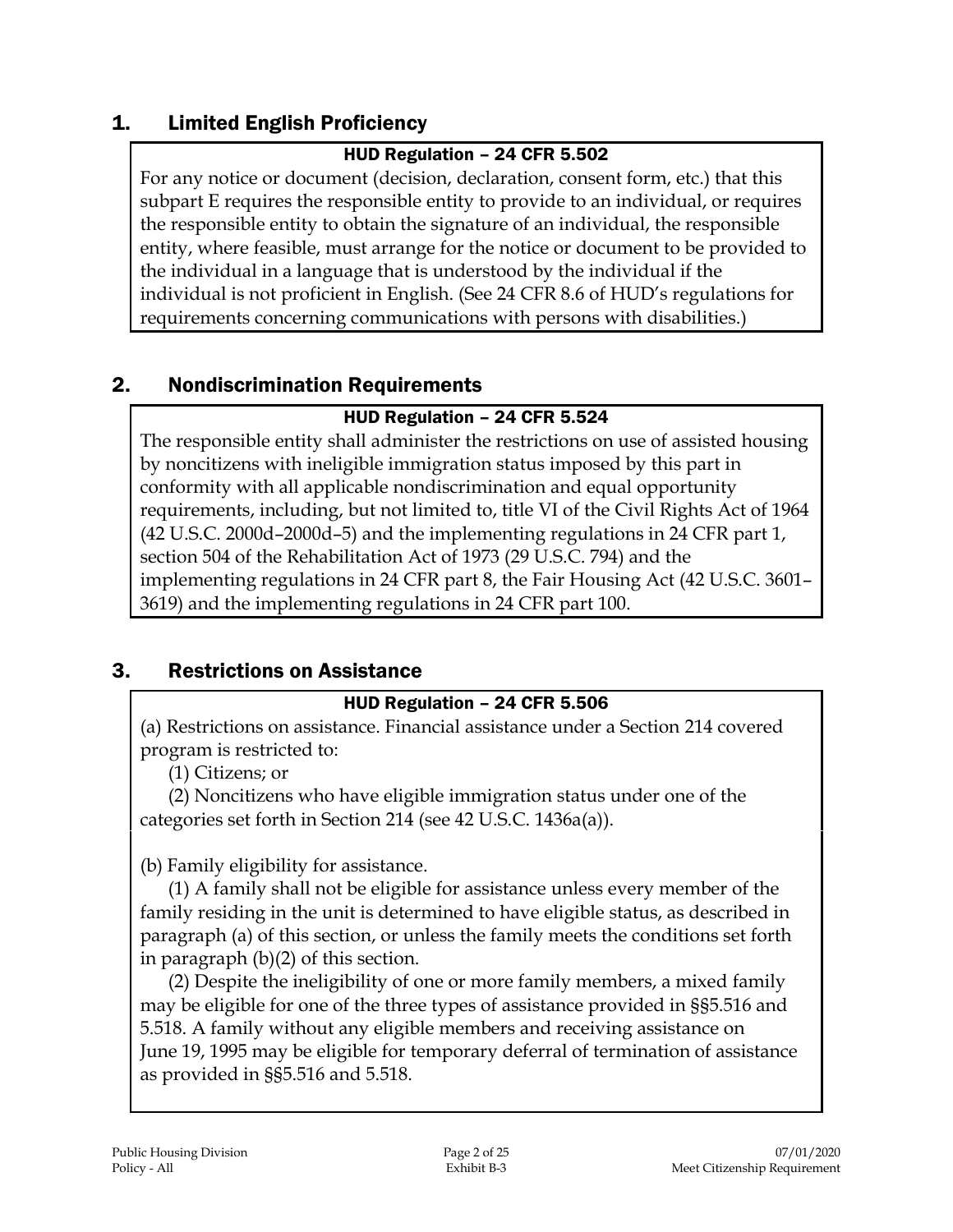# 1. Limited English Proficiency

#### HUD Regulation – 24 CFR 5.502

For any notice or document (decision, declaration, consent form, etc.) that this subpart E requires the responsible entity to provide to an individual, or requires the responsible entity to obtain the signature of an individual, the responsible entity, where feasible, must arrange for the notice or document to be provided to the individual in a language that is understood by the individual if the individual is not proficient in English. (See 24 CFR 8.6 of HUD's regulations for requirements concerning communications with persons with disabilities.)

# 2. Nondiscrimination Requirements

#### HUD Regulation – 24 CFR 5.524

The responsible entity shall administer the restrictions on use of assisted housing by noncitizens with ineligible immigration status imposed by this part in conformity with all applicable nondiscrimination and equal opportunity requirements, including, but not limited to, title VI of the Civil Rights Act of 1964 (42 U.S.C. 2000d–2000d–5) and the implementing regulations in 24 CFR part 1, section 504 of the Rehabilitation Act of 1973 (29 U.S.C. 794) and the implementing regulations in 24 CFR part 8, the Fair Housing Act (42 U.S.C. 3601– 3619) and the implementing regulations in 24 CFR part 100.

# 3. Restrictions on Assistance

#### HUD Regulation – 24 CFR 5.506

(a) Restrictions on assistance. Financial assistance under a Section 214 covered program is restricted to:

(1) Citizens; or

(2) Noncitizens who have eligible immigration status under one of the categories set forth in Section 214 (see 42 U.S.C. 1436a(a)).

(b) Family eligibility for assistance.

(1) A family shall not be eligible for assistance unless every member of the family residing in the unit is determined to have eligible status, as described in paragraph (a) of this section, or unless the family meets the conditions set forth in paragraph (b)(2) of this section.

(2) Despite the ineligibility of one or more family members, a mixed family may be eligible for one of the three types of assistance provided in §§5.516 and 5.518. A family without any eligible members and receiving assistance on June 19, 1995 may be eligible for temporary deferral of termination of assistance as provided in §§5.516 and 5.518.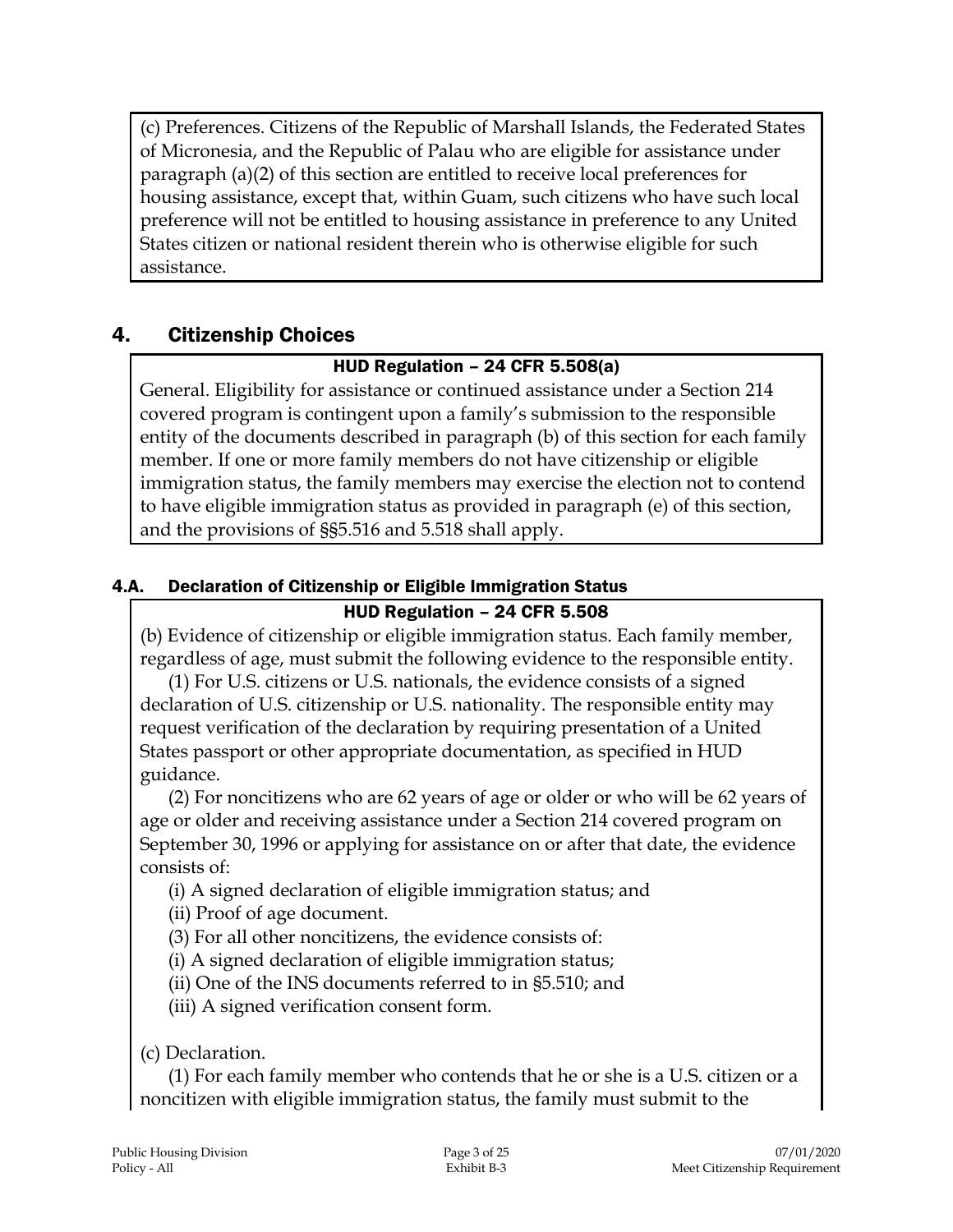(c) Preferences. Citizens of the Republic of Marshall Islands, the Federated States of Micronesia, and the Republic of Palau who are eligible for assistance under paragraph (a)(2) of this section are entitled to receive local preferences for housing assistance, except that, within Guam, such citizens who have such local preference will not be entitled to housing assistance in preference to any United States citizen or national resident therein who is otherwise eligible for such assistance.

# 4. Citizenship Choices

#### HUD Regulation – 24 CFR 5.508(a)

General. Eligibility for assistance or continued assistance under a Section 214 covered program is contingent upon a family's submission to the responsible entity of the documents described in paragraph (b) of this section for each family member. If one or more family members do not have citizenship or eligible immigration status, the family members may exercise the election not to contend to have eligible immigration status as provided in paragraph (e) of this section, and the provisions of §§5.516 and 5.518 shall apply.

#### 4.A. Declaration of Citizenship or Eligible Immigration Status

#### HUD Regulation – 24 CFR 5.508

(b) Evidence of citizenship or eligible immigration status. Each family member, regardless of age, must submit the following evidence to the responsible entity.

(1) For U.S. citizens or U.S. nationals, the evidence consists of a signed declaration of U.S. citizenship or U.S. nationality. The responsible entity may request verification of the declaration by requiring presentation of a United States passport or other appropriate documentation, as specified in HUD guidance.

(2) For noncitizens who are 62 years of age or older or who will be 62 years of age or older and receiving assistance under a Section 214 covered program on September 30, 1996 or applying for assistance on or after that date, the evidence consists of:

(i) A signed declaration of eligible immigration status; and

(ii) Proof of age document.

(3) For all other noncitizens, the evidence consists of:

(i) A signed declaration of eligible immigration status;

(ii) One of the INS documents referred to in §5.510; and

(iii) A signed verification consent form.

(c) Declaration.

(1) For each family member who contends that he or she is a U.S. citizen or a noncitizen with eligible immigration status, the family must submit to the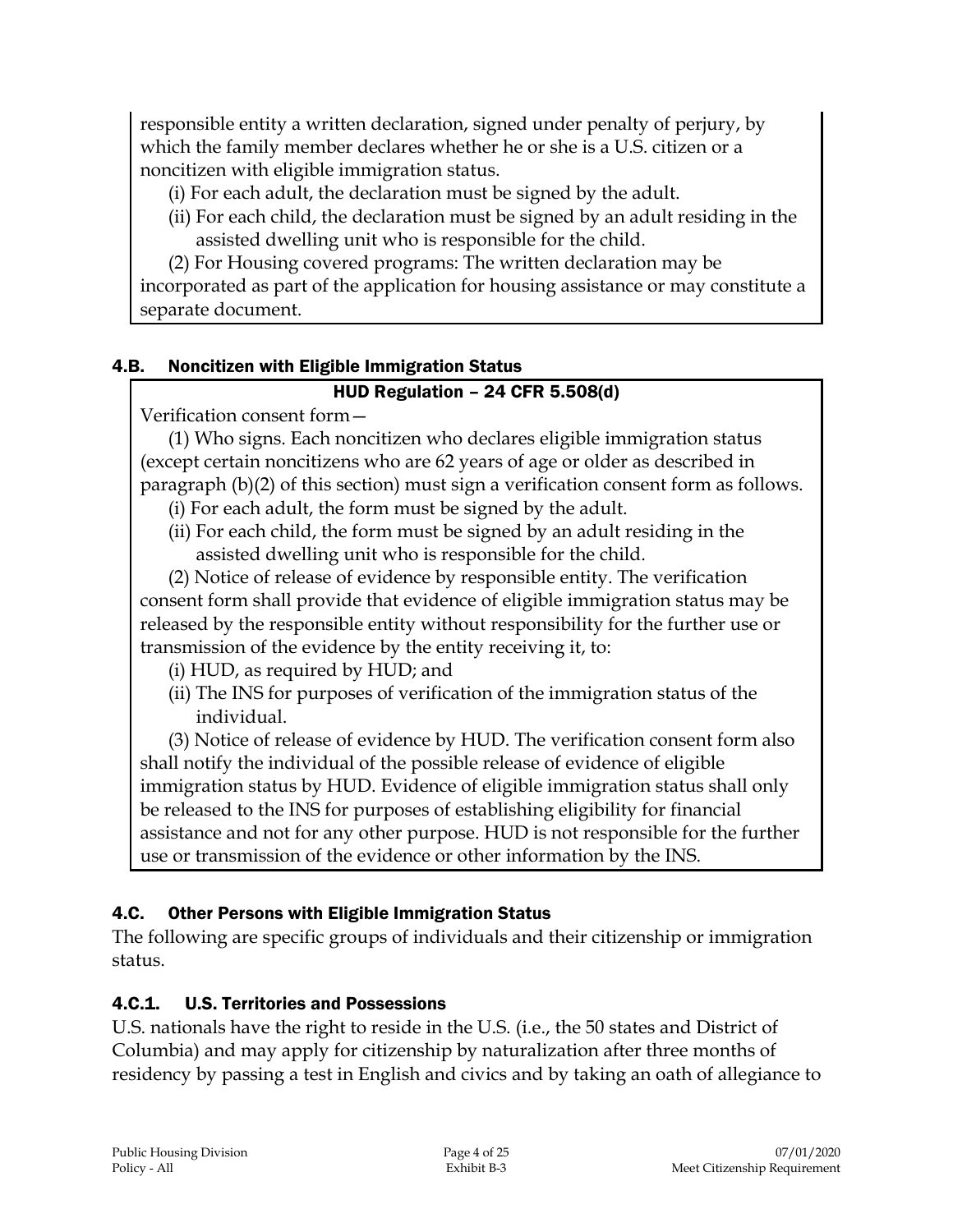responsible entity a written declaration, signed under penalty of perjury, by which the family member declares whether he or she is a U.S. citizen or a noncitizen with eligible immigration status.

- (i) For each adult, the declaration must be signed by the adult.
- (ii) For each child, the declaration must be signed by an adult residing in the assisted dwelling unit who is responsible for the child.
- (2) For Housing covered programs: The written declaration may be

incorporated as part of the application for housing assistance or may constitute a separate document.

## 4.B. Noncitizen with Eligible Immigration Status

#### HUD Regulation – 24 CFR 5.508(d)

Verification consent form—

(1) Who signs. Each noncitizen who declares eligible immigration status (except certain noncitizens who are 62 years of age or older as described in paragraph (b)(2) of this section) must sign a verification consent form as follows.

- (i) For each adult, the form must be signed by the adult.
- (ii) For each child, the form must be signed by an adult residing in the assisted dwelling unit who is responsible for the child.

(2) Notice of release of evidence by responsible entity. The verification consent form shall provide that evidence of eligible immigration status may be released by the responsible entity without responsibility for the further use or transmission of the evidence by the entity receiving it, to:

- (i) HUD, as required by HUD; and
- (ii) The INS for purposes of verification of the immigration status of the individual.

(3) Notice of release of evidence by HUD. The verification consent form also shall notify the individual of the possible release of evidence of eligible immigration status by HUD. Evidence of eligible immigration status shall only be released to the INS for purposes of establishing eligibility for financial assistance and not for any other purpose. HUD is not responsible for the further use or transmission of the evidence or other information by the INS.

## 4.C. Other Persons with Eligible Immigration Status

The following are specific groups of individuals and their citizenship or immigration status.

## 4.C.1. U.S. Territories and Possessions

U.S. nationals have the right to reside in the U.S. (i.e., the 50 states and District of Columbia) and may apply for citizenship by naturalization after three months of residency by passing a test in English and civics and by taking an oath of allegiance to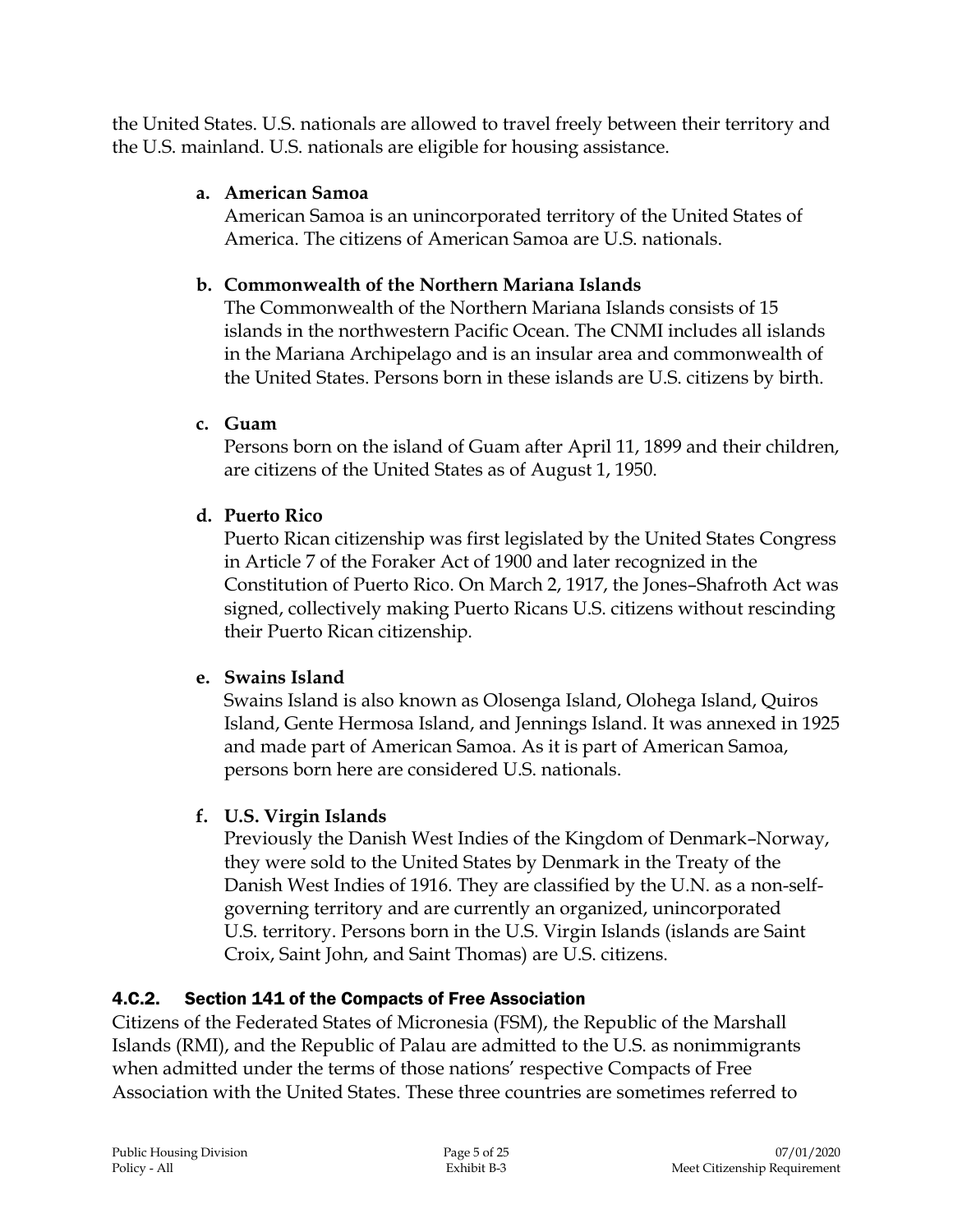the United States. U.S. nationals are allowed to travel freely between their territory and the U.S. mainland. U.S. nationals are eligible for housing assistance.

## **a. American Samoa**

American Samoa is an unincorporated territory of the United States of America. The citizens of American Samoa are U.S. nationals.

# **b. Commonwealth of the Northern Mariana Islands**

The Commonwealth of the Northern Mariana Islands consists of 15 islands in the northwestern Pacific Ocean. The CNMI includes all islands in the Mariana Archipelago and is an insular area and commonwealth of the United States. Persons born in these islands are U.S. citizens by birth.

# **c. Guam**

Persons born on the island of Guam after April 11, 1899 and their children, are citizens of the United States as of August 1, 1950.

# **d. Puerto Rico**

Puerto Rican citizenship was first legislated by the United States Congress in Article 7 of the Foraker Act of 1900 and later recognized in the Constitution of Puerto Rico. On March 2, 1917, the Jones–Shafroth Act was signed, collectively making Puerto Ricans U.S. citizens without rescinding their Puerto Rican citizenship.

## **e. Swains Island**

Swains Island is also known as Olosenga Island, Olohega Island, Quiros Island, Gente Hermosa Island, and Jennings Island. It was annexed in 1925 and made part of American Samoa. As it is part of American Samoa, persons born here are considered U.S. nationals.

# **f. U.S. Virgin Islands**

Previously the Danish West Indies of the Kingdom of Denmark–Norway, they were sold to the United States by Denmark in the Treaty of the Danish West Indies of 1916. They are classified by the U.N. as a non-selfgoverning territory and are currently an organized, unincorporated U.S. territory. Persons born in the U.S. Virgin Islands (islands are Saint Croix, Saint John, and Saint Thomas) are U.S. citizens.

# 4.C.2. Section 141 of the Compacts of Free Association

Citizens of the Federated States of Micronesia (FSM), the Republic of the Marshall Islands (RMI), and the Republic of Palau are admitted to the U.S. as nonimmigrants when admitted under the terms of those nations' respective Compacts of Free Association with the United States. These three countries are sometimes referred to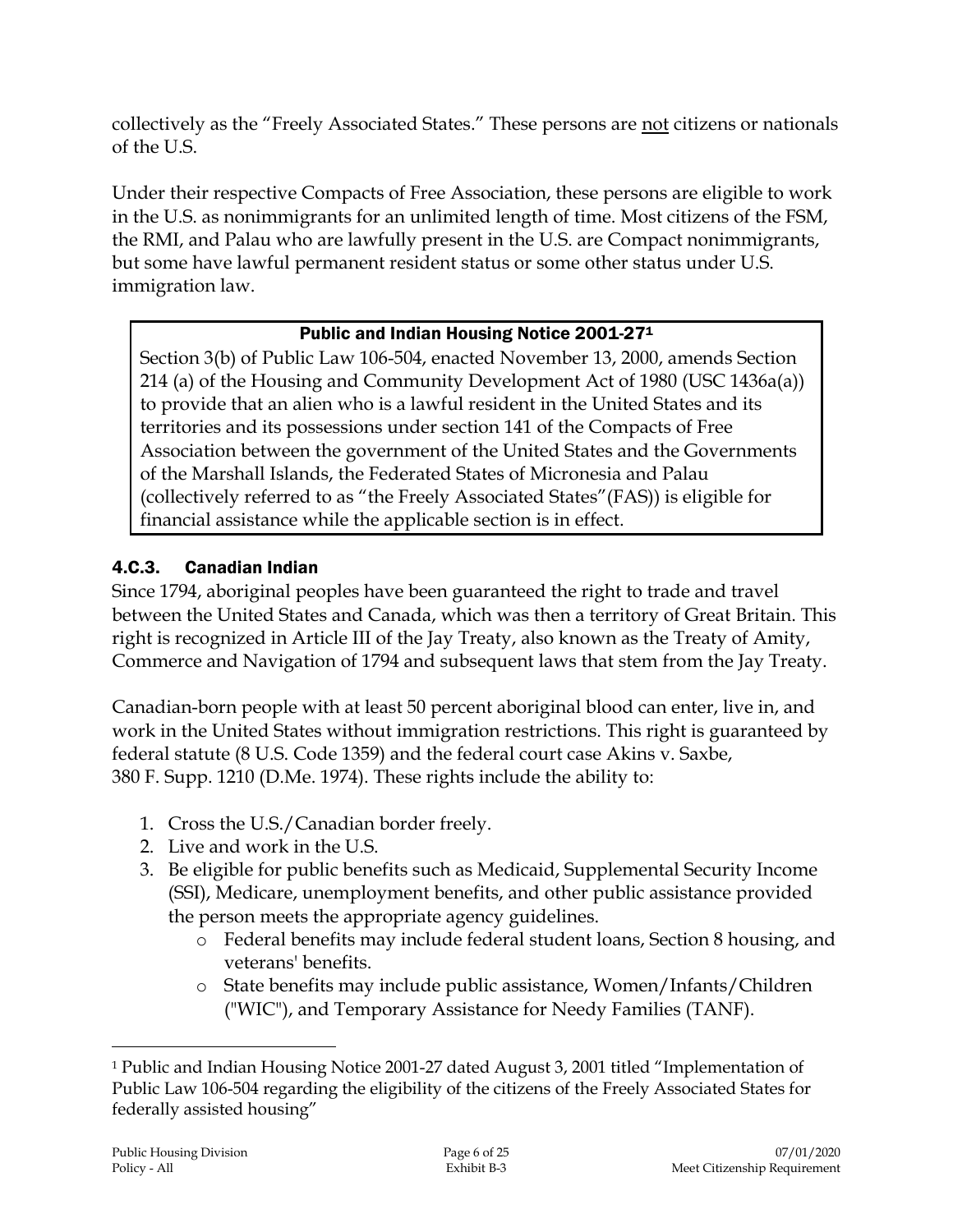collectively as the "Freely Associated States." These persons are not citizens or nationals of the U.S.

Under their respective Compacts of Free Association, these persons are eligible to work in the U.S. as nonimmigrants for an unlimited length of time. Most citizens of the FSM, the RMI, and Palau who are lawfully present in the U.S. are Compact nonimmigrants, but some have lawful permanent resident status or some other status under U.S. immigration law.

#### Public and Indian Housing Notice 2001-27<sup>1</sup>

Section 3(b) of Public Law 106-504, enacted November 13, 2000, amends Section 214 (a) of the Housing and Community Development Act of 1980 (USC 1436a(a)) to provide that an alien who is a lawful resident in the United States and its territories and its possessions under section 141 of the Compacts of Free Association between the government of the United States and the Governments of the Marshall Islands, the Federated States of Micronesia and Palau (collectively referred to as "the Freely Associated States"(FAS)) is eligible for financial assistance while the applicable section is in effect.

# 4.C.3. Canadian Indian

Since 1794, aboriginal peoples have been guaranteed the right to trade and travel between the United States and Canada, which was then a territory of Great Britain. This right is recognized in Article III of the Jay Treaty, also known as the Treaty of Amity, Commerce and Navigation of 1794 and subsequent laws that stem from the Jay Treaty.

Canadian-born people with at least 50 percent aboriginal blood can enter, live in, and work in the United States without immigration restrictions. This right is guaranteed by federal statute (8 U.S. Code 1359) and the federal court case Akins v. Saxbe, 380 F. Supp. 1210 (D.Me. 1974). These rights include the ability to:

- 1. Cross the U.S./Canadian border freely.
- 2. Live and work in the U.S.
- 3. Be eligible for public benefits such as Medicaid, Supplemental Security Income (SSI), Medicare, unemployment benefits, and other public assistance provided the person meets the appropriate agency guidelines.
	- o Federal benefits may include federal student loans, Section 8 housing, and veterans' benefits.
	- o State benefits may include public assistance, Women/Infants/Children ("WIC"), and Temporary Assistance for Needy Families (TANF).

 $\overline{a}$ 

<sup>1</sup> Public and Indian Housing Notice 2001-27 dated August 3, 2001 titled "Implementation of Public Law 106-504 regarding the eligibility of the citizens of the Freely Associated States for federally assisted housing"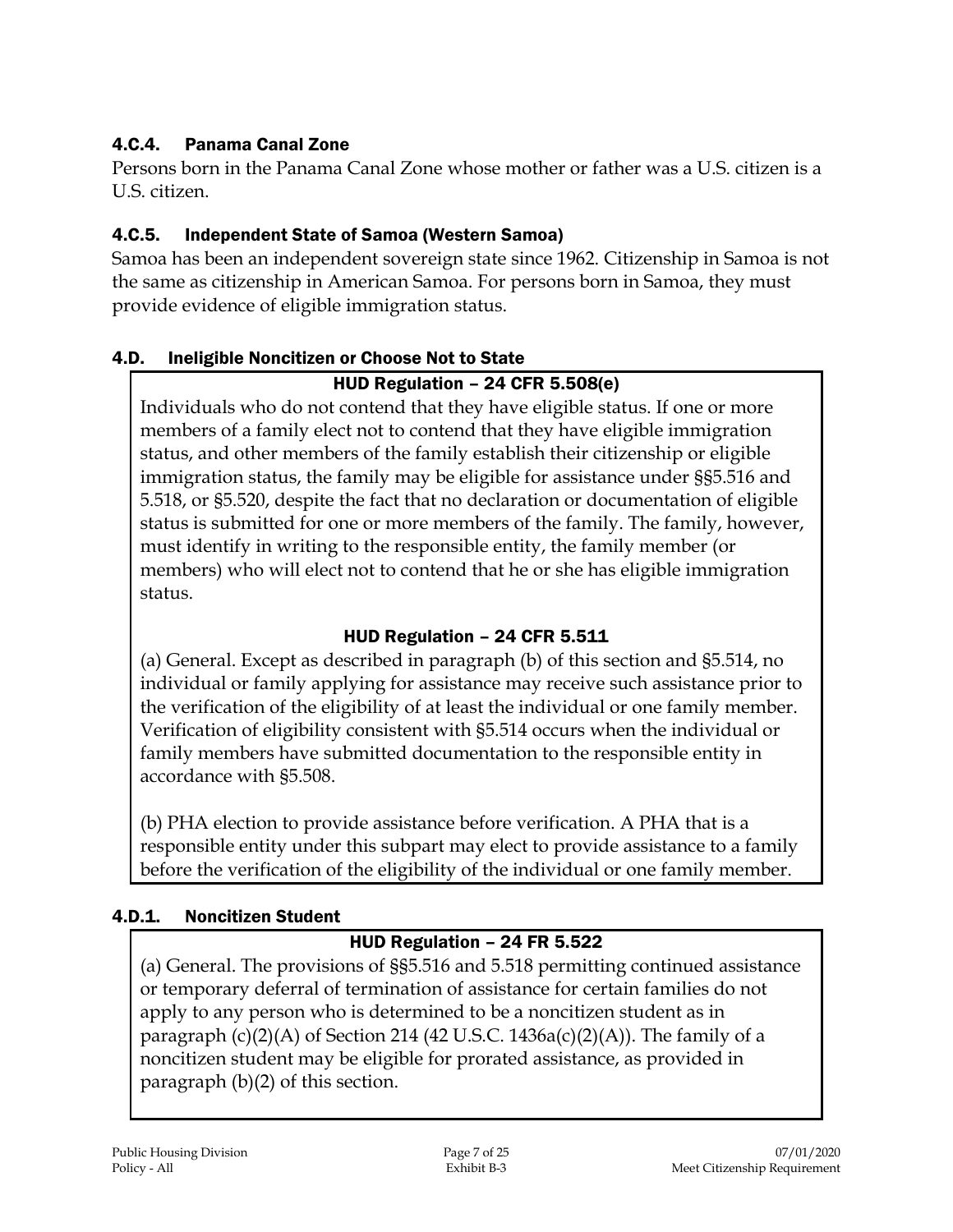# 4.C.4. Panama Canal Zone

Persons born in the Panama Canal Zone whose mother or father was a U.S. citizen is a U.S. citizen.

# 4.C.5. Independent State of Samoa (Western Samoa)

Samoa has been an independent sovereign state since 1962. Citizenship in Samoa is not the same as citizenship in American Samoa. For persons born in Samoa, they must provide evidence of eligible immigration status.

#### 4.D. Ineligible Noncitizen or Choose Not to State

#### HUD Regulation – 24 CFR 5.508(e)

Individuals who do not contend that they have eligible status. If one or more members of a family elect not to contend that they have eligible immigration status, and other members of the family establish their citizenship or eligible immigration status, the family may be eligible for assistance under §§5.516 and 5.518, or §5.520, despite the fact that no declaration or documentation of eligible status is submitted for one or more members of the family. The family, however, must identify in writing to the responsible entity, the family member (or members) who will elect not to contend that he or she has eligible immigration status.

## HUD Regulation – 24 CFR 5.511

(a) General. Except as described in paragraph (b) of this section and §5.514, no individual or family applying for assistance may receive such assistance prior to the verification of the eligibility of at least the individual or one family member. Verification of eligibility consistent with §5.514 occurs when the individual or family members have submitted documentation to the responsible entity in accordance with §5.508.

(b) PHA election to provide assistance before verification. A PHA that is a responsible entity under this subpart may elect to provide assistance to a family before the verification of the eligibility of the individual or one family member.

## 4.D.1. Noncitizen Student

## HUD Regulation – 24 FR 5.522

(a) General. The provisions of §§5.516 and 5.518 permitting continued assistance or temporary deferral of termination of assistance for certain families do not apply to any person who is determined to be a noncitizen student as in paragraph  $(c)(2)(A)$  of Section 214 (42 U.S.C. 1436a $(c)(2)(A)$ ). The family of a noncitizen student may be eligible for prorated assistance, as provided in paragraph (b)(2) of this section.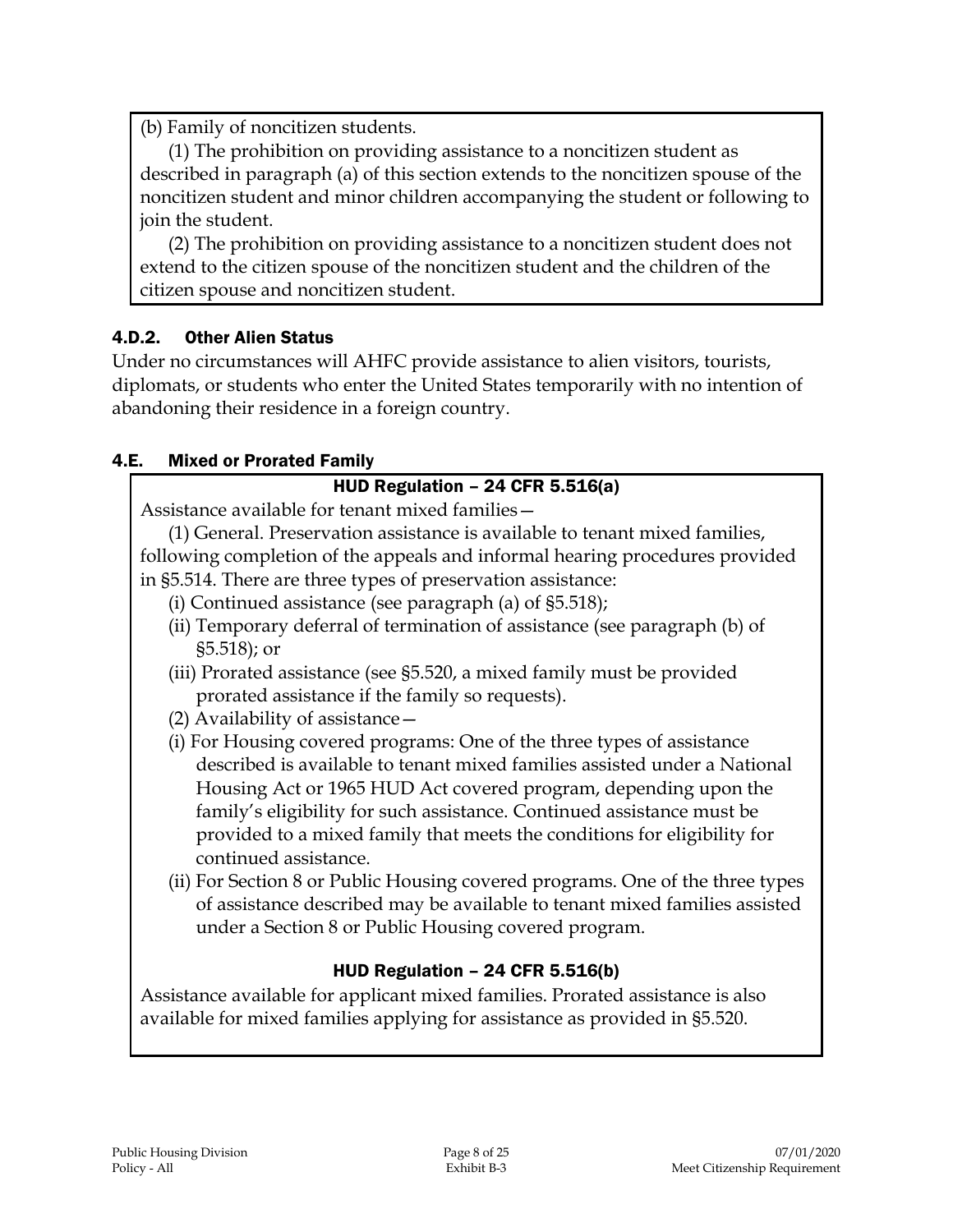(b) Family of noncitizen students.

(1) The prohibition on providing assistance to a noncitizen student as described in paragraph (a) of this section extends to the noncitizen spouse of the noncitizen student and minor children accompanying the student or following to join the student.

(2) The prohibition on providing assistance to a noncitizen student does not extend to the citizen spouse of the noncitizen student and the children of the citizen spouse and noncitizen student.

#### 4.D.2. Other Alien Status

Under no circumstances will AHFC provide assistance to alien visitors, tourists, diplomats, or students who enter the United States temporarily with no intention of abandoning their residence in a foreign country.

#### 4.E. Mixed or Prorated Family

#### HUD Regulation – 24 CFR 5.516(a)

Assistance available for tenant mixed families—

(1) General. Preservation assistance is available to tenant mixed families, following completion of the appeals and informal hearing procedures provided in §5.514. There are three types of preservation assistance:

- (i) Continued assistance (see paragraph (a) of §5.518);
- (ii) Temporary deferral of termination of assistance (see paragraph (b) of §5.518); or
- (iii) Prorated assistance (see §5.520, a mixed family must be provided prorated assistance if the family so requests).
- (2) Availability of assistance—
- (i) For Housing covered programs: One of the three types of assistance described is available to tenant mixed families assisted under a National Housing Act or 1965 HUD Act covered program, depending upon the family's eligibility for such assistance. Continued assistance must be provided to a mixed family that meets the conditions for eligibility for continued assistance.
- (ii) For Section 8 or Public Housing covered programs. One of the three types of assistance described may be available to tenant mixed families assisted under a Section 8 or Public Housing covered program.

#### HUD Regulation – 24 CFR 5.516(b)

Assistance available for applicant mixed families. Prorated assistance is also available for mixed families applying for assistance as provided in §5.520.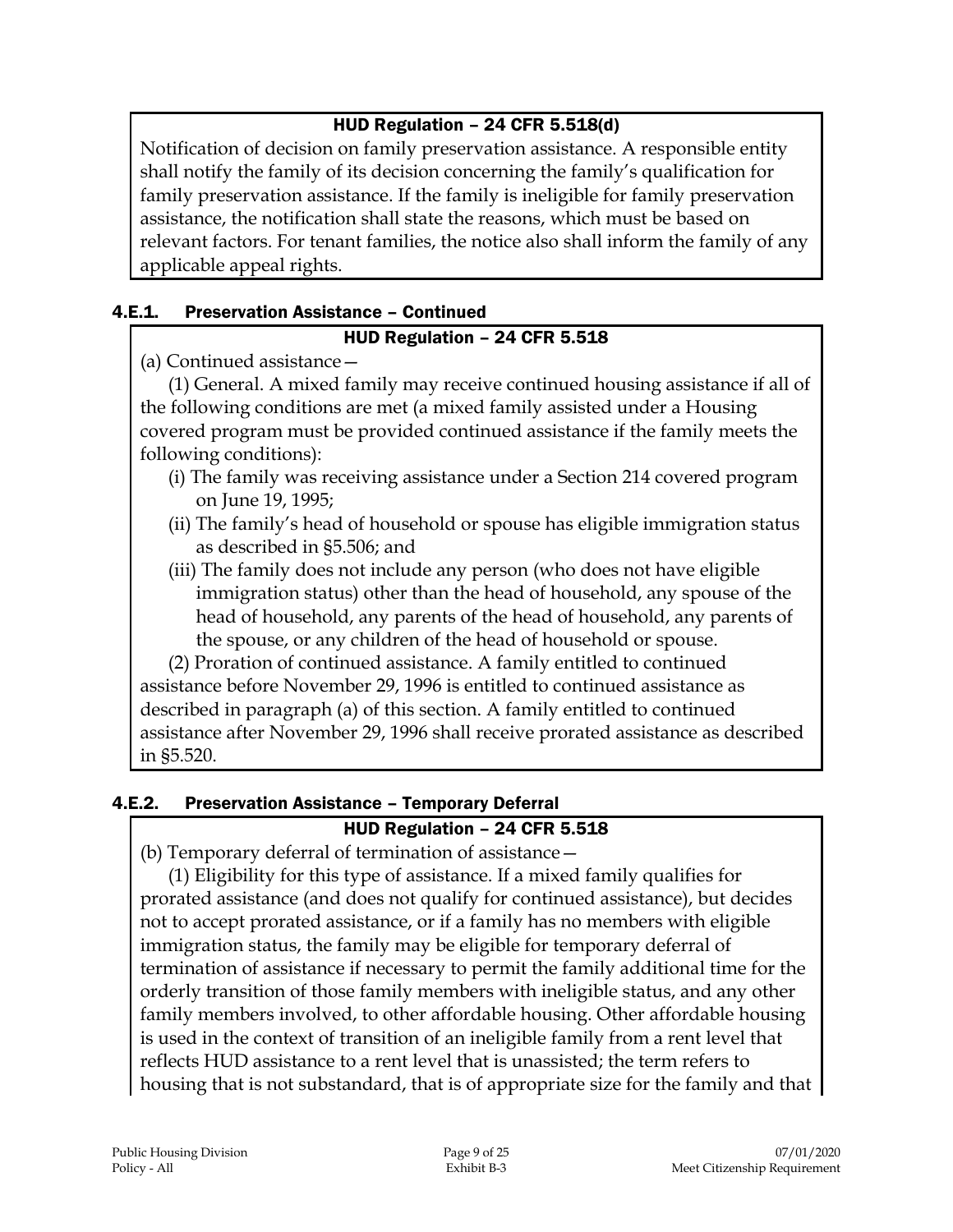## HUD Regulation – 24 CFR 5.518(d)

Notification of decision on family preservation assistance. A responsible entity shall notify the family of its decision concerning the family's qualification for family preservation assistance. If the family is ineligible for family preservation assistance, the notification shall state the reasons, which must be based on relevant factors. For tenant families, the notice also shall inform the family of any applicable appeal rights.

#### 4.E.1. Preservation Assistance – Continued

#### HUD Regulation – 24 CFR 5.518

(a) Continued assistance—

(1) General. A mixed family may receive continued housing assistance if all of the following conditions are met (a mixed family assisted under a Housing covered program must be provided continued assistance if the family meets the following conditions):

- (i) The family was receiving assistance under a Section 214 covered program on June 19, 1995;
- (ii) The family's head of household or spouse has eligible immigration status as described in §5.506; and
- (iii) The family does not include any person (who does not have eligible immigration status) other than the head of household, any spouse of the head of household, any parents of the head of household, any parents of the spouse, or any children of the head of household or spouse.

(2) Proration of continued assistance. A family entitled to continued assistance before November 29, 1996 is entitled to continued assistance as described in paragraph (a) of this section. A family entitled to continued assistance after November 29, 1996 shall receive prorated assistance as described in §5.520.

# 4.E.2. Preservation Assistance – Temporary Deferral

## HUD Regulation – 24 CFR 5.518

(b) Temporary deferral of termination of assistance—

(1) Eligibility for this type of assistance. If a mixed family qualifies for prorated assistance (and does not qualify for continued assistance), but decides not to accept prorated assistance, or if a family has no members with eligible immigration status, the family may be eligible for temporary deferral of termination of assistance if necessary to permit the family additional time for the orderly transition of those family members with ineligible status, and any other family members involved, to other affordable housing. Other affordable housing is used in the context of transition of an ineligible family from a rent level that reflects HUD assistance to a rent level that is unassisted; the term refers to housing that is not substandard, that is of appropriate size for the family and that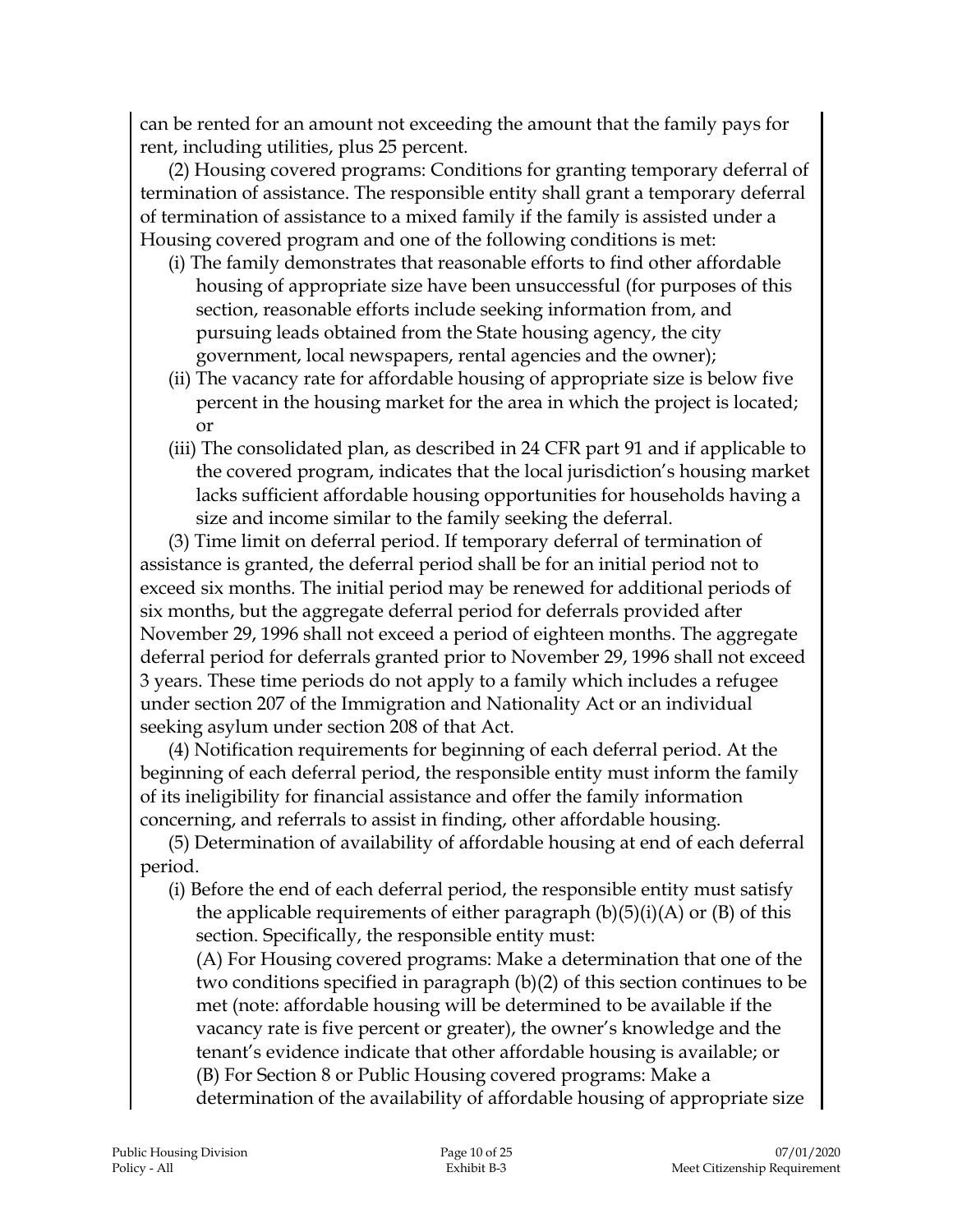can be rented for an amount not exceeding the amount that the family pays for rent, including utilities, plus 25 percent.

(2) Housing covered programs: Conditions for granting temporary deferral of termination of assistance. The responsible entity shall grant a temporary deferral of termination of assistance to a mixed family if the family is assisted under a Housing covered program and one of the following conditions is met:

- (i) The family demonstrates that reasonable efforts to find other affordable housing of appropriate size have been unsuccessful (for purposes of this section, reasonable efforts include seeking information from, and pursuing leads obtained from the State housing agency, the city government, local newspapers, rental agencies and the owner);
- (ii) The vacancy rate for affordable housing of appropriate size is below five percent in the housing market for the area in which the project is located; or
- (iii) The consolidated plan, as described in 24 CFR part 91 and if applicable to the covered program, indicates that the local jurisdiction's housing market lacks sufficient affordable housing opportunities for households having a size and income similar to the family seeking the deferral.

(3) Time limit on deferral period. If temporary deferral of termination of assistance is granted, the deferral period shall be for an initial period not to exceed six months. The initial period may be renewed for additional periods of six months, but the aggregate deferral period for deferrals provided after November 29, 1996 shall not exceed a period of eighteen months. The aggregate deferral period for deferrals granted prior to November 29, 1996 shall not exceed 3 years. These time periods do not apply to a family which includes a refugee under section 207 of the Immigration and Nationality Act or an individual seeking asylum under section 208 of that Act.

(4) Notification requirements for beginning of each deferral period. At the beginning of each deferral period, the responsible entity must inform the family of its ineligibility for financial assistance and offer the family information concerning, and referrals to assist in finding, other affordable housing.

(5) Determination of availability of affordable housing at end of each deferral period.

(i) Before the end of each deferral period, the responsible entity must satisfy the applicable requirements of either paragraph  $(b)(5)(i)(A)$  or  $(B)$  of this section. Specifically, the responsible entity must:

(A) For Housing covered programs: Make a determination that one of the two conditions specified in paragraph (b)(2) of this section continues to be met (note: affordable housing will be determined to be available if the vacancy rate is five percent or greater), the owner's knowledge and the tenant's evidence indicate that other affordable housing is available; or (B) For Section 8 or Public Housing covered programs: Make a determination of the availability of affordable housing of appropriate size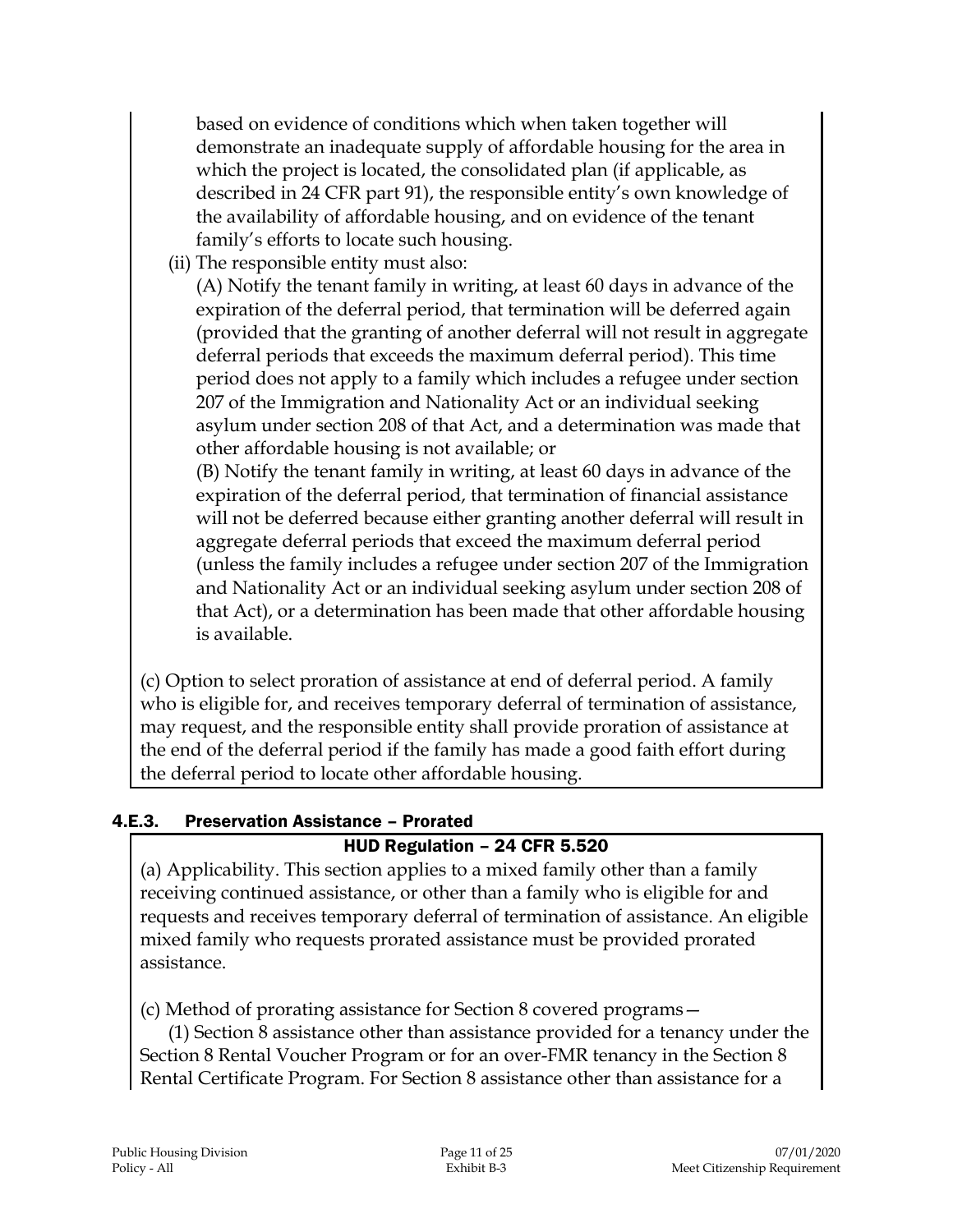based on evidence of conditions which when taken together will demonstrate an inadequate supply of affordable housing for the area in which the project is located, the consolidated plan (if applicable, as described in 24 CFR part 91), the responsible entity's own knowledge of the availability of affordable housing, and on evidence of the tenant family's efforts to locate such housing.

(ii) The responsible entity must also:

(A) Notify the tenant family in writing, at least 60 days in advance of the expiration of the deferral period, that termination will be deferred again (provided that the granting of another deferral will not result in aggregate deferral periods that exceeds the maximum deferral period). This time period does not apply to a family which includes a refugee under section 207 of the Immigration and Nationality Act or an individual seeking asylum under section 208 of that Act, and a determination was made that other affordable housing is not available; or

(B) Notify the tenant family in writing, at least 60 days in advance of the expiration of the deferral period, that termination of financial assistance will not be deferred because either granting another deferral will result in aggregate deferral periods that exceed the maximum deferral period (unless the family includes a refugee under section 207 of the Immigration and Nationality Act or an individual seeking asylum under section 208 of that Act), or a determination has been made that other affordable housing is available.

(c) Option to select proration of assistance at end of deferral period. A family who is eligible for, and receives temporary deferral of termination of assistance, may request, and the responsible entity shall provide proration of assistance at the end of the deferral period if the family has made a good faith effort during the deferral period to locate other affordable housing.

## 4.E.3. Preservation Assistance – Prorated

## HUD Regulation – 24 CFR 5.520

(a) Applicability. This section applies to a mixed family other than a family receiving continued assistance, or other than a family who is eligible for and requests and receives temporary deferral of termination of assistance. An eligible mixed family who requests prorated assistance must be provided prorated assistance.

(c) Method of prorating assistance for Section 8 covered programs—

(1) Section 8 assistance other than assistance provided for a tenancy under the Section 8 Rental Voucher Program or for an over-FMR tenancy in the Section 8 Rental Certificate Program. For Section 8 assistance other than assistance for a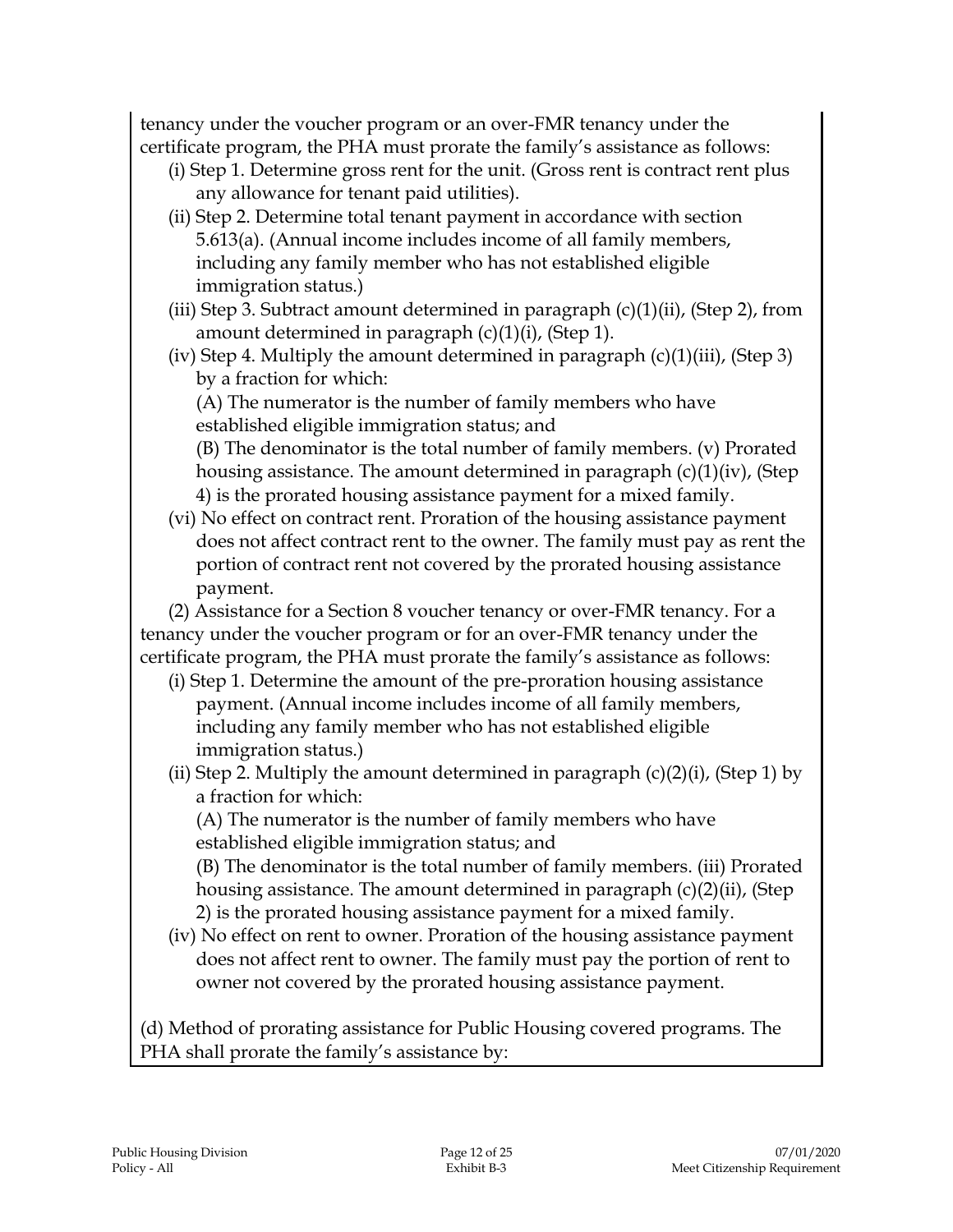tenancy under the voucher program or an over-FMR tenancy under the certificate program, the PHA must prorate the family's assistance as follows:

- (i) Step 1. Determine gross rent for the unit. (Gross rent is contract rent plus any allowance for tenant paid utilities).
- (ii) Step 2. Determine total tenant payment in accordance with section 5.613(a). (Annual income includes income of all family members, including any family member who has not established eligible immigration status.)
- (iii) Step 3. Subtract amount determined in paragraph  $(c)(1)(ii)$ , (Step 2), from amount determined in paragraph (c)(1)(i), (Step 1).
- (iv) Step 4. Multiply the amount determined in paragraph  $(c)(1)(iii)$ , (Step 3) by a fraction for which:

(A) The numerator is the number of family members who have established eligible immigration status; and

(B) The denominator is the total number of family members. (v) Prorated housing assistance. The amount determined in paragraph (c)(1)(iv), (Step 4) is the prorated housing assistance payment for a mixed family.

(vi) No effect on contract rent. Proration of the housing assistance payment does not affect contract rent to the owner. The family must pay as rent the portion of contract rent not covered by the prorated housing assistance payment.

(2) Assistance for a Section 8 voucher tenancy or over-FMR tenancy. For a tenancy under the voucher program or for an over-FMR tenancy under the certificate program, the PHA must prorate the family's assistance as follows:

- (i) Step 1. Determine the amount of the pre-proration housing assistance payment. (Annual income includes income of all family members, including any family member who has not established eligible immigration status.)
- (ii) Step 2. Multiply the amount determined in paragraph  $(c)(2)(i)$ , (Step 1) by a fraction for which:

(A) The numerator is the number of family members who have established eligible immigration status; and

(B) The denominator is the total number of family members. (iii) Prorated housing assistance. The amount determined in paragraph (c)(2)(ii), (Step 2) is the prorated housing assistance payment for a mixed family.

(iv) No effect on rent to owner. Proration of the housing assistance payment does not affect rent to owner. The family must pay the portion of rent to owner not covered by the prorated housing assistance payment.

(d) Method of prorating assistance for Public Housing covered programs. The PHA shall prorate the family's assistance by: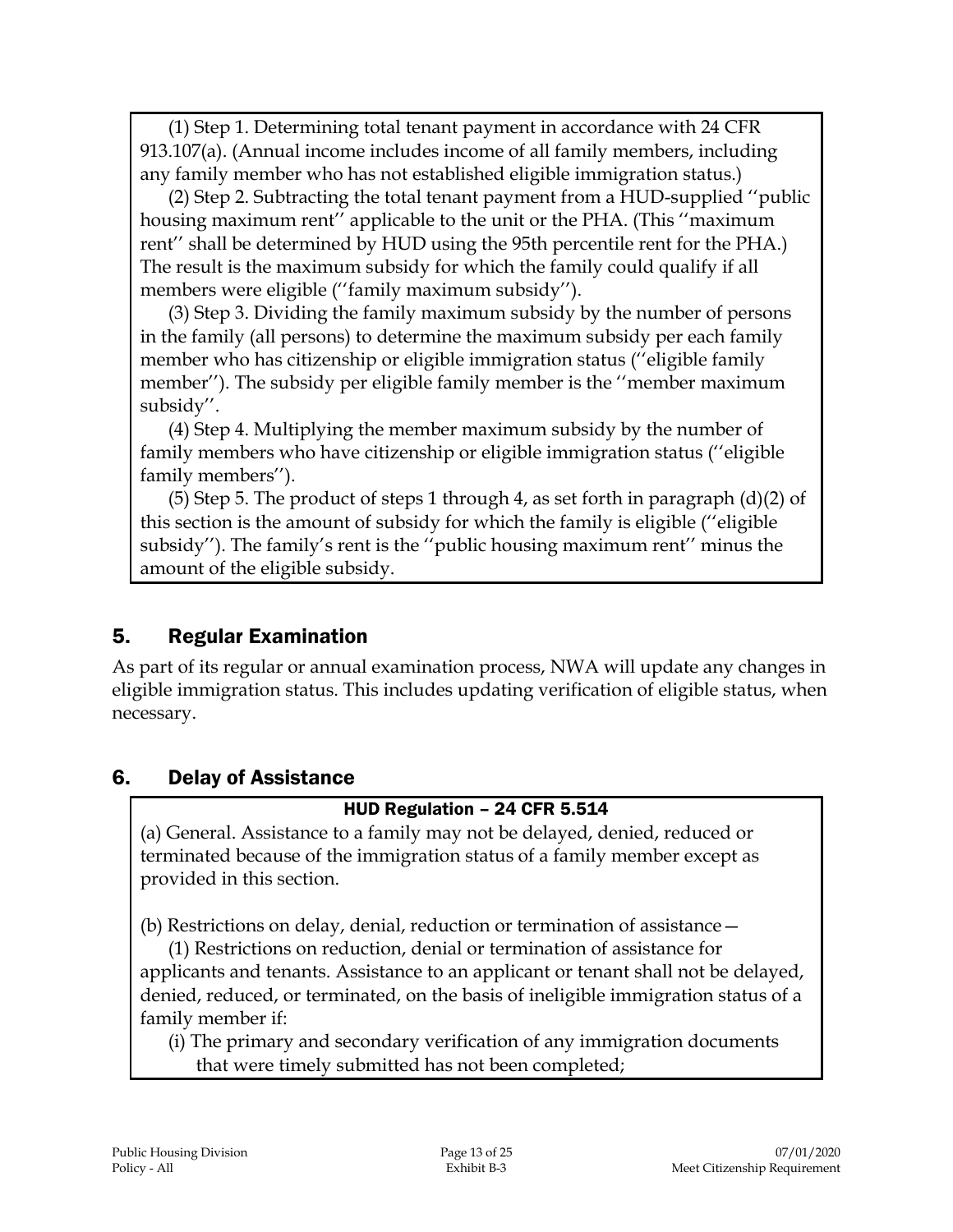(1) Step 1. Determining total tenant payment in accordance with 24 CFR 913.107(a). (Annual income includes income of all family members, including any family member who has not established eligible immigration status.)

(2) Step 2. Subtracting the total tenant payment from a HUD-supplied ''public housing maximum rent'' applicable to the unit or the PHA. (This ''maximum rent'' shall be determined by HUD using the 95th percentile rent for the PHA.) The result is the maximum subsidy for which the family could qualify if all members were eligible (''family maximum subsidy'').

(3) Step 3. Dividing the family maximum subsidy by the number of persons in the family (all persons) to determine the maximum subsidy per each family member who has citizenship or eligible immigration status (''eligible family member''). The subsidy per eligible family member is the ''member maximum subsidy''.

(4) Step 4. Multiplying the member maximum subsidy by the number of family members who have citizenship or eligible immigration status (''eligible family members'').

(5) Step 5. The product of steps 1 through 4, as set forth in paragraph  $(d)(2)$  of this section is the amount of subsidy for which the family is eligible (''eligible subsidy''). The family's rent is the ''public housing maximum rent'' minus the amount of the eligible subsidy.

## 5. Regular Examination

As part of its regular or annual examination process, NWA will update any changes in eligible immigration status. This includes updating verification of eligible status, when necessary.

## 6. Delay of Assistance

#### HUD Regulation – 24 CFR 5.514

(a) General. Assistance to a family may not be delayed, denied, reduced or terminated because of the immigration status of a family member except as provided in this section.

(b) Restrictions on delay, denial, reduction or termination of assistance—

(1) Restrictions on reduction, denial or termination of assistance for applicants and tenants. Assistance to an applicant or tenant shall not be delayed, denied, reduced, or terminated, on the basis of ineligible immigration status of a family member if:

(i) The primary and secondary verification of any immigration documents that were timely submitted has not been completed;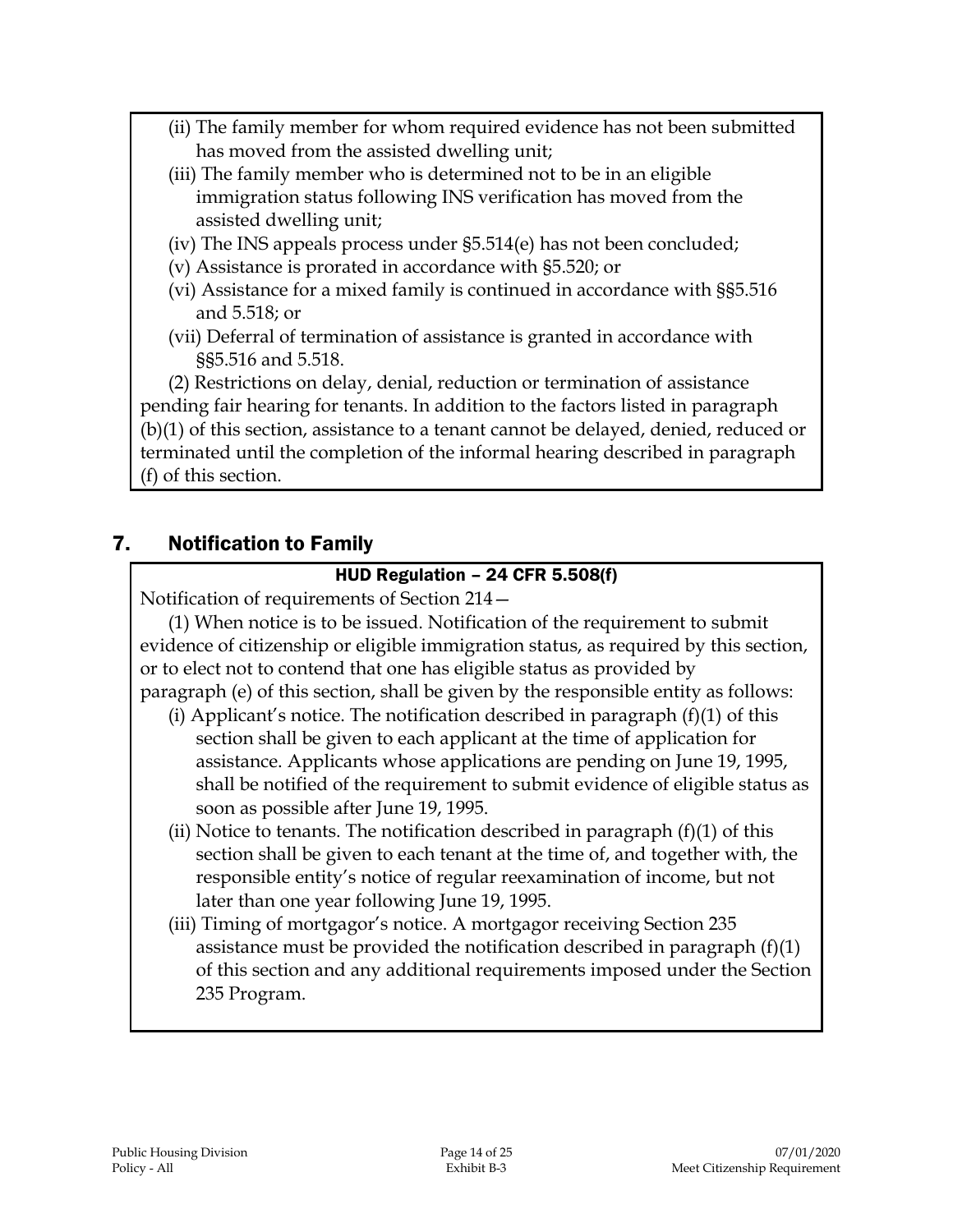- (ii) The family member for whom required evidence has not been submitted has moved from the assisted dwelling unit;
- (iii) The family member who is determined not to be in an eligible immigration status following INS verification has moved from the assisted dwelling unit;
- (iv) The INS appeals process under §5.514(e) has not been concluded;
- (v) Assistance is prorated in accordance with §5.520; or
- (vi) Assistance for a mixed family is continued in accordance with §§5.516 and 5.518; or
- (vii) Deferral of termination of assistance is granted in accordance with §§5.516 and 5.518.

(2) Restrictions on delay, denial, reduction or termination of assistance pending fair hearing for tenants. In addition to the factors listed in paragraph (b)(1) of this section, assistance to a tenant cannot be delayed, denied, reduced or terminated until the completion of the informal hearing described in paragraph (f) of this section.

## 7. Notification to Family

#### HUD Regulation – 24 CFR 5.508(f)

Notification of requirements of Section 214—

(1) When notice is to be issued. Notification of the requirement to submit evidence of citizenship or eligible immigration status, as required by this section, or to elect not to contend that one has eligible status as provided by paragraph (e) of this section, shall be given by the responsible entity as follows:

- (i) Applicant's notice. The notification described in paragraph  $(f)(1)$  of this section shall be given to each applicant at the time of application for assistance. Applicants whose applications are pending on June 19, 1995, shall be notified of the requirement to submit evidence of eligible status as soon as possible after June 19, 1995.
- (ii) Notice to tenants. The notification described in paragraph  $(f)(1)$  of this section shall be given to each tenant at the time of, and together with, the responsible entity's notice of regular reexamination of income, but not later than one year following June 19, 1995.
- (iii) Timing of mortgagor's notice. A mortgagor receiving Section 235 assistance must be provided the notification described in paragraph (f)(1) of this section and any additional requirements imposed under the Section 235 Program.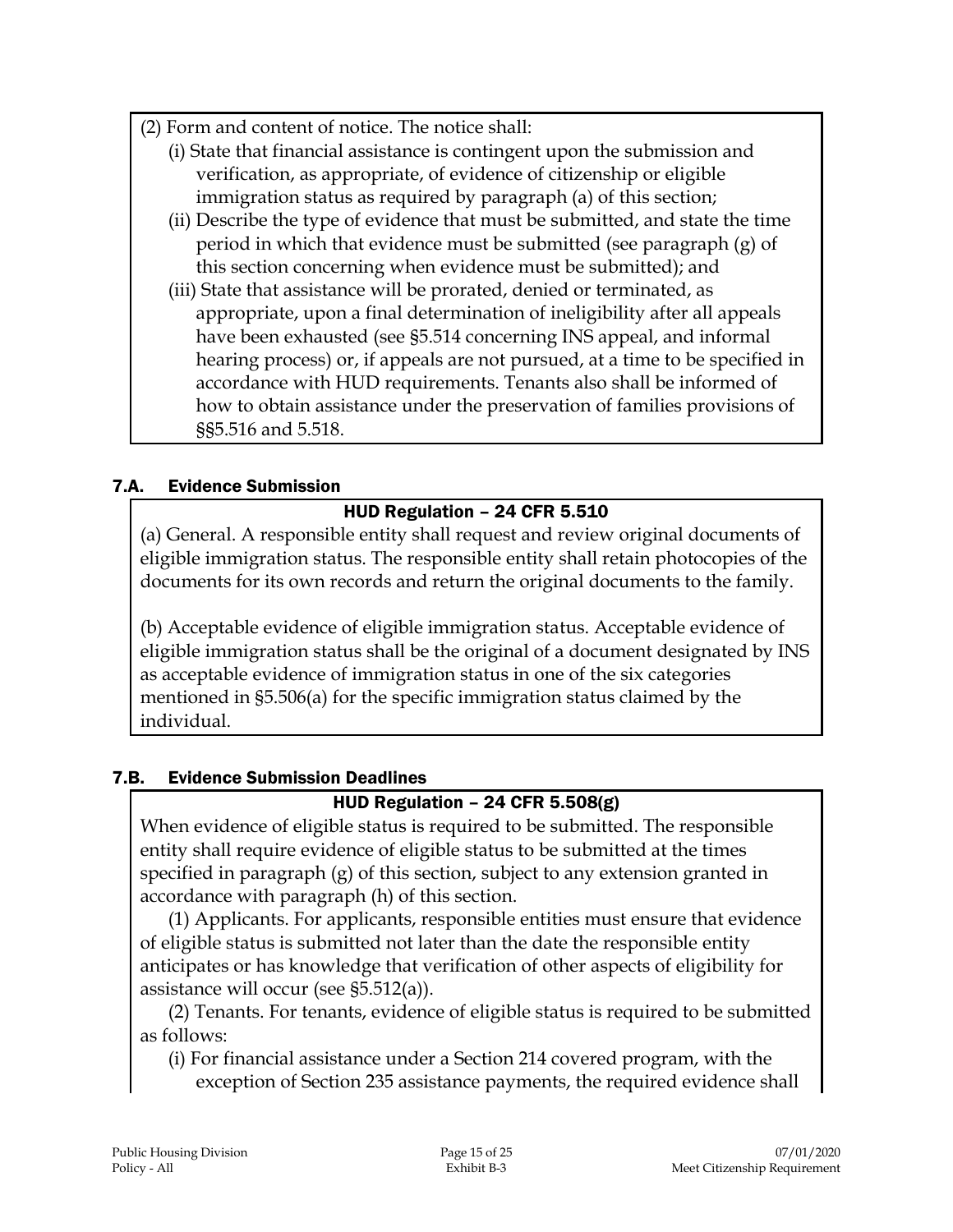- (2) Form and content of notice. The notice shall:
	- (i) State that financial assistance is contingent upon the submission and verification, as appropriate, of evidence of citizenship or eligible immigration status as required by paragraph (a) of this section;
	- (ii) Describe the type of evidence that must be submitted, and state the time period in which that evidence must be submitted (see paragraph  $(g)$  of this section concerning when evidence must be submitted); and
	- (iii) State that assistance will be prorated, denied or terminated, as appropriate, upon a final determination of ineligibility after all appeals have been exhausted (see §5.514 concerning INS appeal, and informal hearing process) or, if appeals are not pursued, at a time to be specified in accordance with HUD requirements. Tenants also shall be informed of how to obtain assistance under the preservation of families provisions of §§5.516 and 5.518.

## 7.A. Evidence Submission

# HUD Regulation – 24 CFR 5.510

(a) General. A responsible entity shall request and review original documents of eligible immigration status. The responsible entity shall retain photocopies of the documents for its own records and return the original documents to the family.

(b) Acceptable evidence of eligible immigration status. Acceptable evidence of eligible immigration status shall be the original of a document designated by INS as acceptable evidence of immigration status in one of the six categories mentioned in §5.506(a) for the specific immigration status claimed by the individual.

## 7.B. Evidence Submission Deadlines

## HUD Regulation – 24 CFR 5.508(g)

When evidence of eligible status is required to be submitted. The responsible entity shall require evidence of eligible status to be submitted at the times specified in paragraph (g) of this section, subject to any extension granted in accordance with paragraph (h) of this section.

(1) Applicants. For applicants, responsible entities must ensure that evidence of eligible status is submitted not later than the date the responsible entity anticipates or has knowledge that verification of other aspects of eligibility for assistance will occur (see §5.512(a)).

(2) Tenants. For tenants, evidence of eligible status is required to be submitted as follows:

(i) For financial assistance under a Section 214 covered program, with the exception of Section 235 assistance payments, the required evidence shall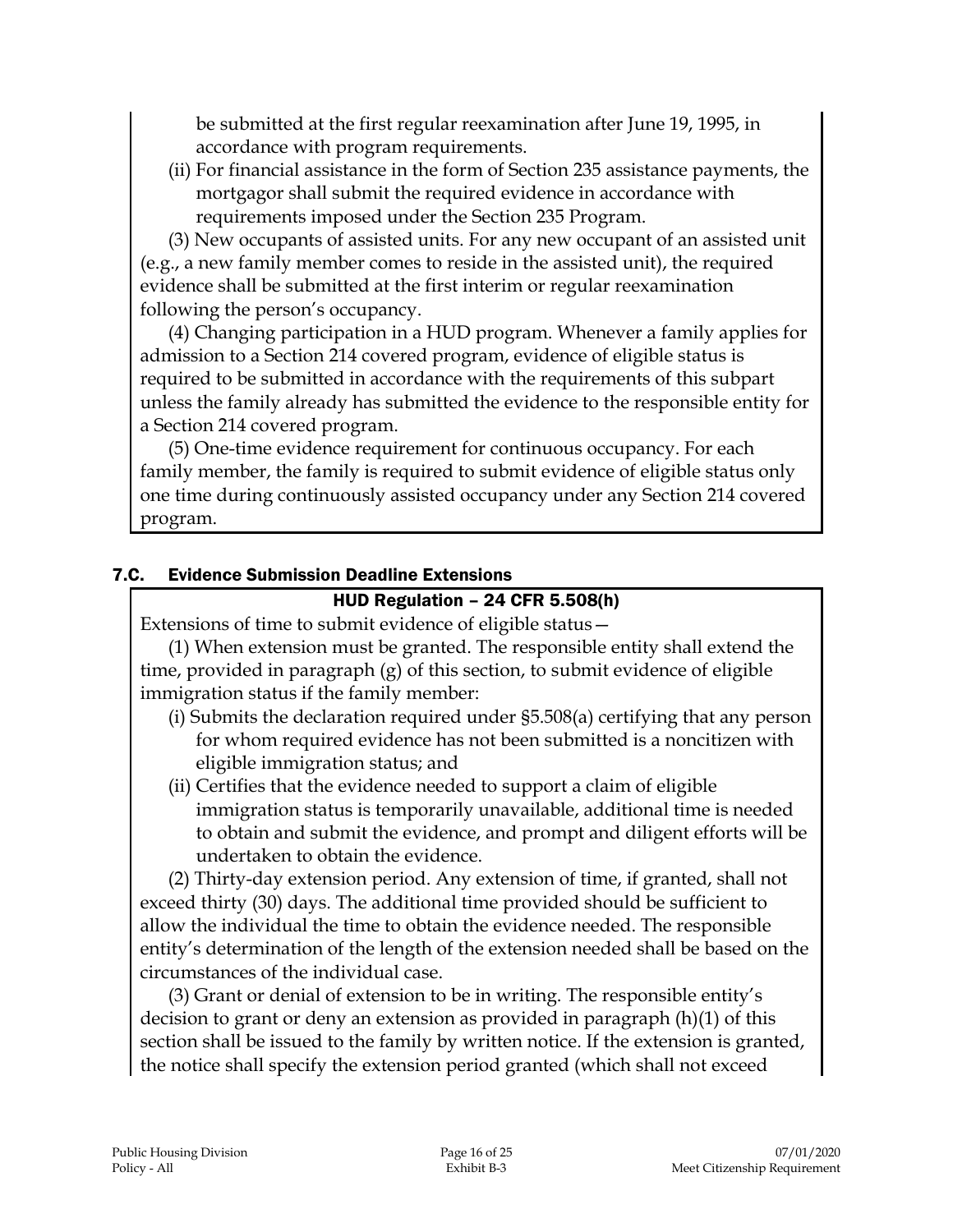be submitted at the first regular reexamination after June 19, 1995, in accordance with program requirements.

(ii) For financial assistance in the form of Section 235 assistance payments, the mortgagor shall submit the required evidence in accordance with requirements imposed under the Section 235 Program.

(3) New occupants of assisted units. For any new occupant of an assisted unit (e.g., a new family member comes to reside in the assisted unit), the required evidence shall be submitted at the first interim or regular reexamination following the person's occupancy.

(4) Changing participation in a HUD program. Whenever a family applies for admission to a Section 214 covered program, evidence of eligible status is required to be submitted in accordance with the requirements of this subpart unless the family already has submitted the evidence to the responsible entity for a Section 214 covered program.

(5) One-time evidence requirement for continuous occupancy. For each family member, the family is required to submit evidence of eligible status only one time during continuously assisted occupancy under any Section 214 covered program.

#### 7.C. Evidence Submission Deadline Extensions

#### HUD Regulation – 24 CFR 5.508(h)

Extensions of time to submit evidence of eligible status—

(1) When extension must be granted. The responsible entity shall extend the time, provided in paragraph (g) of this section, to submit evidence of eligible immigration status if the family member:

- (i) Submits the declaration required under §5.508(a) certifying that any person for whom required evidence has not been submitted is a noncitizen with eligible immigration status; and
- (ii) Certifies that the evidence needed to support a claim of eligible immigration status is temporarily unavailable, additional time is needed to obtain and submit the evidence, and prompt and diligent efforts will be undertaken to obtain the evidence.

(2) Thirty-day extension period. Any extension of time, if granted, shall not exceed thirty (30) days. The additional time provided should be sufficient to allow the individual the time to obtain the evidence needed. The responsible entity's determination of the length of the extension needed shall be based on the circumstances of the individual case.

(3) Grant or denial of extension to be in writing. The responsible entity's decision to grant or deny an extension as provided in paragraph (h)(1) of this section shall be issued to the family by written notice. If the extension is granted, the notice shall specify the extension period granted (which shall not exceed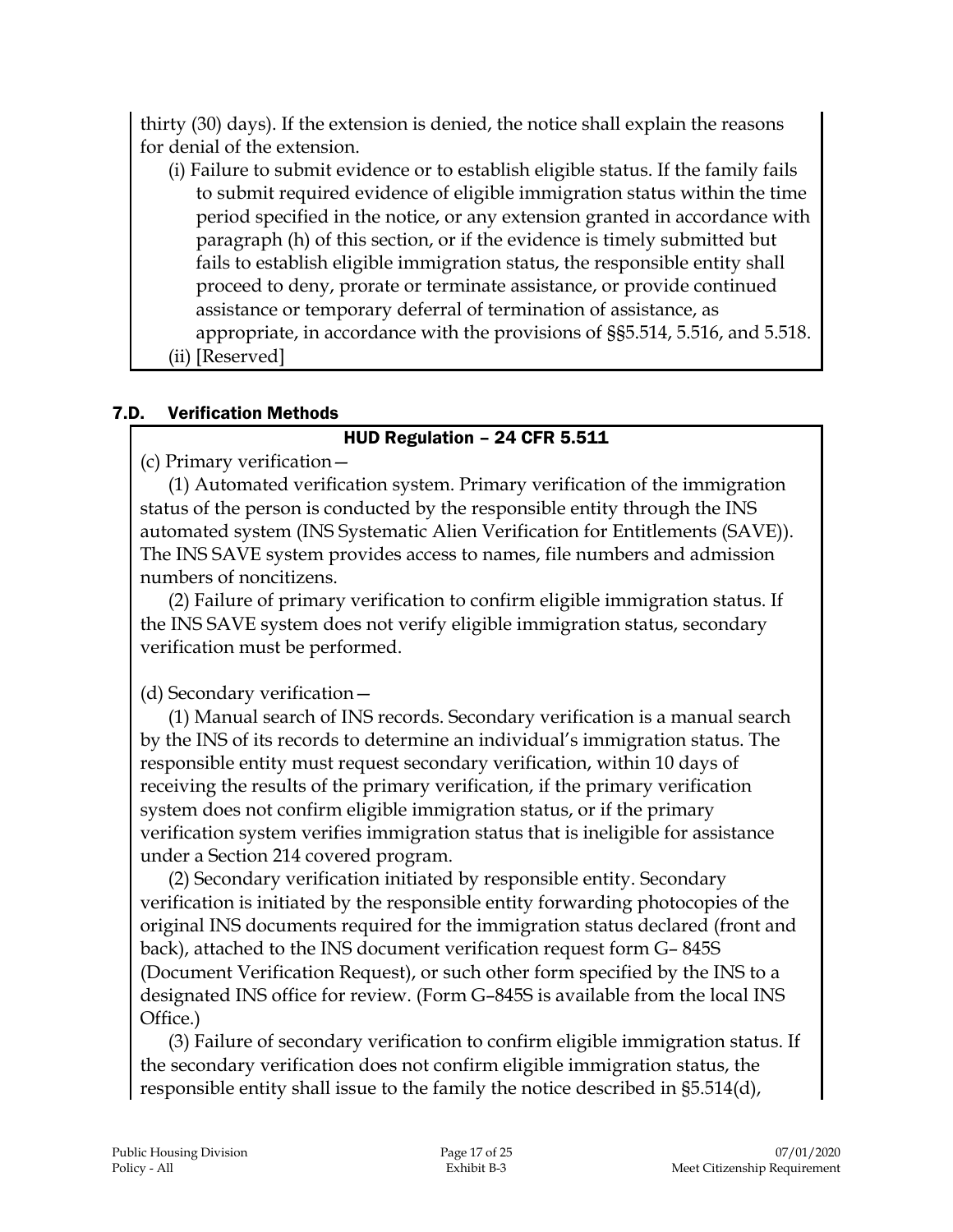thirty (30) days). If the extension is denied, the notice shall explain the reasons for denial of the extension.

- (i) Failure to submit evidence or to establish eligible status. If the family fails to submit required evidence of eligible immigration status within the time period specified in the notice, or any extension granted in accordance with paragraph (h) of this section, or if the evidence is timely submitted but fails to establish eligible immigration status, the responsible entity shall proceed to deny, prorate or terminate assistance, or provide continued assistance or temporary deferral of termination of assistance, as appropriate, in accordance with the provisions of §§5.514, 5.516, and 5.518.
- (ii) [Reserved]

## 7.D. Verification Methods

#### HUD Regulation – 24 CFR 5.511

(c) Primary verification—

(1) Automated verification system. Primary verification of the immigration status of the person is conducted by the responsible entity through the INS automated system (INS Systematic Alien Verification for Entitlements (SAVE)). The INS SAVE system provides access to names, file numbers and admission numbers of noncitizens.

(2) Failure of primary verification to confirm eligible immigration status. If the INS SAVE system does not verify eligible immigration status, secondary verification must be performed.

# (d) Secondary verification—

(1) Manual search of INS records. Secondary verification is a manual search by the INS of its records to determine an individual's immigration status. The responsible entity must request secondary verification, within 10 days of receiving the results of the primary verification, if the primary verification system does not confirm eligible immigration status, or if the primary verification system verifies immigration status that is ineligible for assistance under a Section 214 covered program.

(2) Secondary verification initiated by responsible entity. Secondary verification is initiated by the responsible entity forwarding photocopies of the original INS documents required for the immigration status declared (front and back), attached to the INS document verification request form G– 845S (Document Verification Request), or such other form specified by the INS to a designated INS office for review. (Form G–845S is available from the local INS Office.)

(3) Failure of secondary verification to confirm eligible immigration status. If the secondary verification does not confirm eligible immigration status, the responsible entity shall issue to the family the notice described in §5.514(d),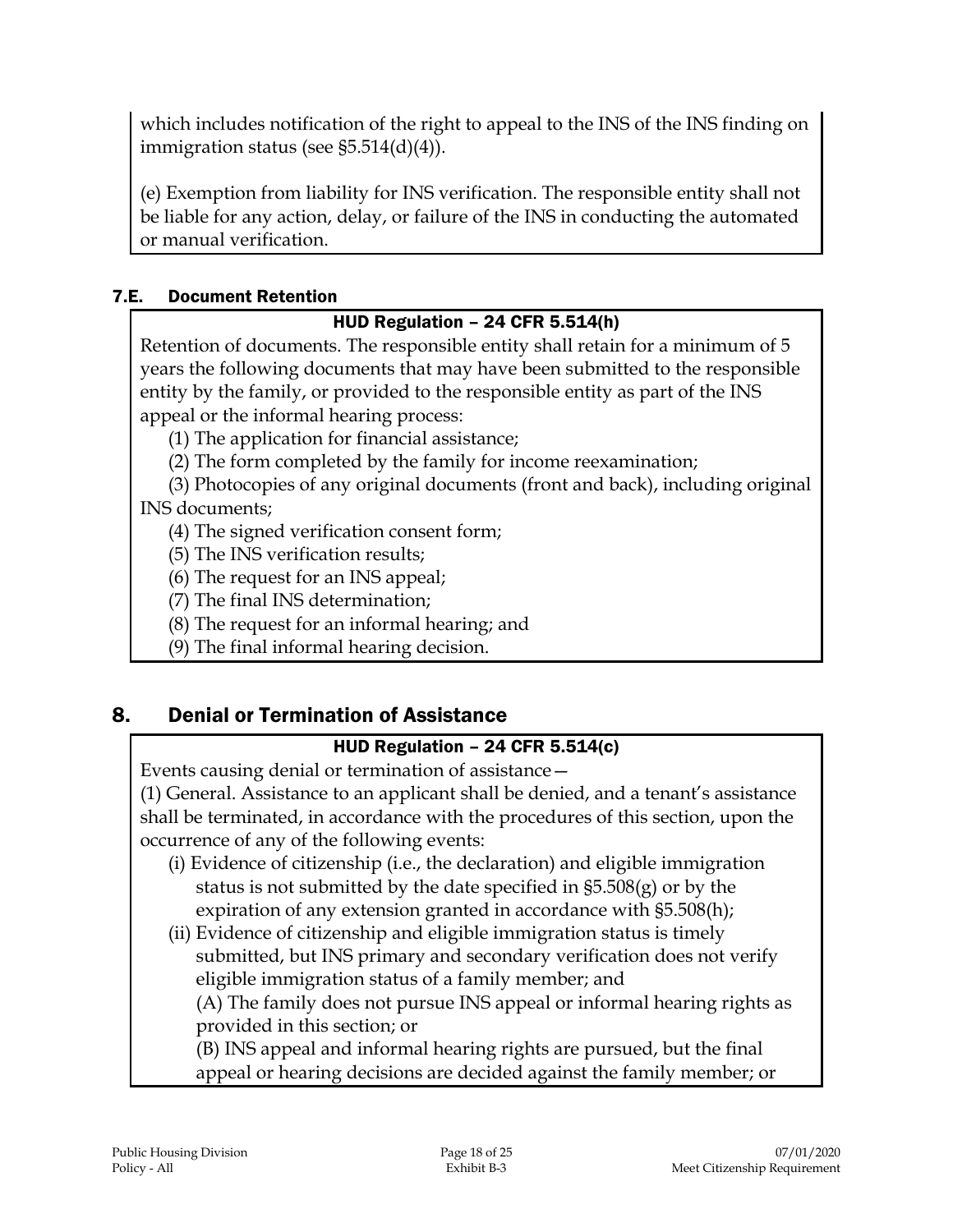which includes notification of the right to appeal to the INS of the INS finding on immigration status (see §5.514(d)(4)).

(e) Exemption from liability for INS verification. The responsible entity shall not be liable for any action, delay, or failure of the INS in conducting the automated or manual verification.

#### 7.E. Document Retention

## HUD Regulation – 24 CFR 5.514(h)

Retention of documents. The responsible entity shall retain for a minimum of 5 years the following documents that may have been submitted to the responsible entity by the family, or provided to the responsible entity as part of the INS appeal or the informal hearing process:

(1) The application for financial assistance;

(2) The form completed by the family for income reexamination;

(3) Photocopies of any original documents (front and back), including original INS documents;

(4) The signed verification consent form;

(5) The INS verification results;

(6) The request for an INS appeal;

(7) The final INS determination;

(8) The request for an informal hearing; and

(9) The final informal hearing decision.

# 8. Denial or Termination of Assistance

## HUD Regulation – 24 CFR 5.514(c)

Events causing denial or termination of assistance—

(1) General. Assistance to an applicant shall be denied, and a tenant's assistance shall be terminated, in accordance with the procedures of this section, upon the occurrence of any of the following events:

- (i) Evidence of citizenship (i.e., the declaration) and eligible immigration status is not submitted by the date specified in §5.508(g) or by the expiration of any extension granted in accordance with §5.508(h);
- (ii) Evidence of citizenship and eligible immigration status is timely submitted, but INS primary and secondary verification does not verify eligible immigration status of a family member; and

(A) The family does not pursue INS appeal or informal hearing rights as provided in this section; or

(B) INS appeal and informal hearing rights are pursued, but the final appeal or hearing decisions are decided against the family member; or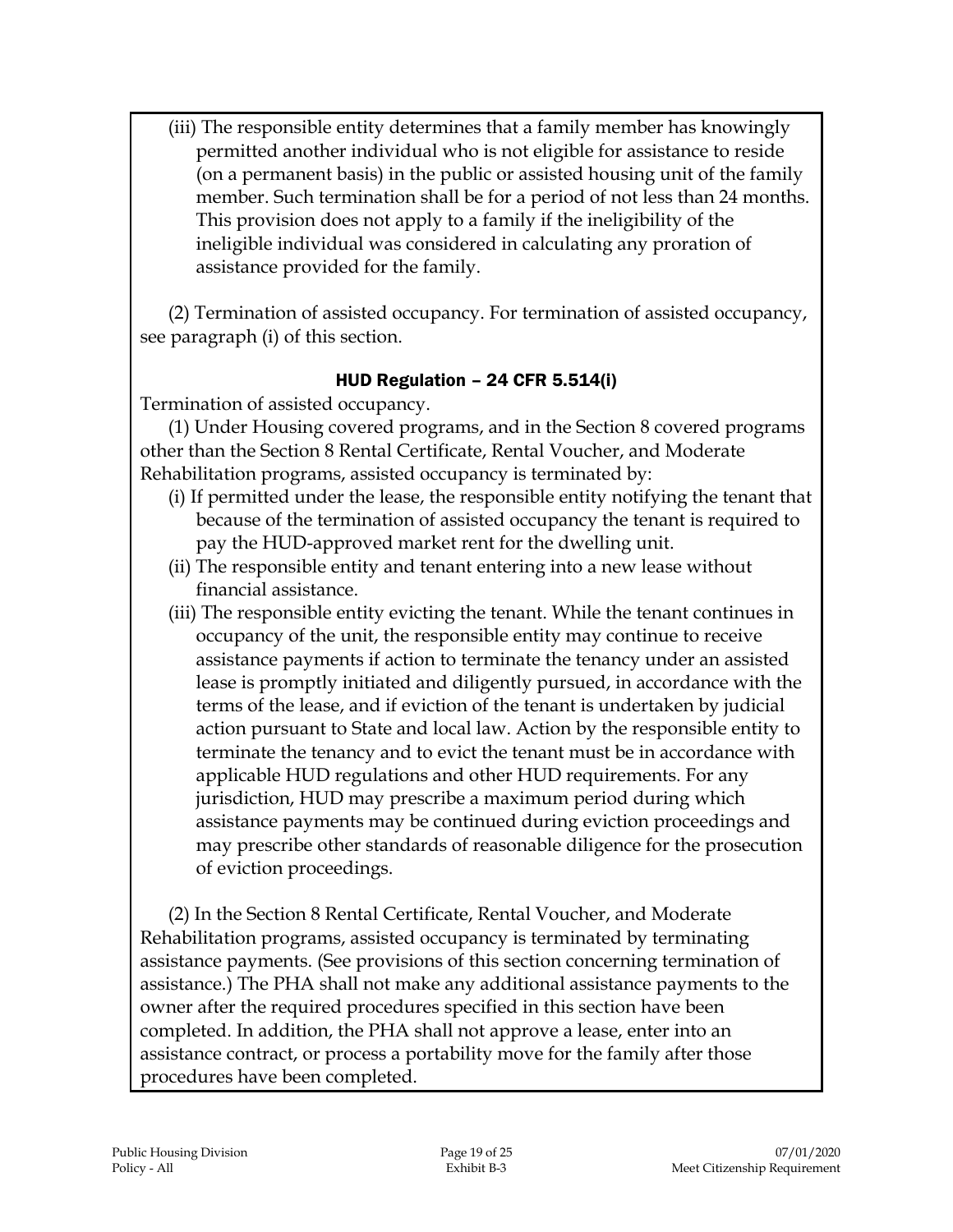(iii) The responsible entity determines that a family member has knowingly permitted another individual who is not eligible for assistance to reside (on a permanent basis) in the public or assisted housing unit of the family member. Such termination shall be for a period of not less than 24 months. This provision does not apply to a family if the ineligibility of the ineligible individual was considered in calculating any proration of assistance provided for the family.

(2) Termination of assisted occupancy. For termination of assisted occupancy, see paragraph (i) of this section.

#### HUD Regulation – 24 CFR 5.514(i)

Termination of assisted occupancy.

(1) Under Housing covered programs, and in the Section 8 covered programs other than the Section 8 Rental Certificate, Rental Voucher, and Moderate Rehabilitation programs, assisted occupancy is terminated by:

- (i) If permitted under the lease, the responsible entity notifying the tenant that because of the termination of assisted occupancy the tenant is required to pay the HUD-approved market rent for the dwelling unit.
- (ii) The responsible entity and tenant entering into a new lease without financial assistance.
- (iii) The responsible entity evicting the tenant. While the tenant continues in occupancy of the unit, the responsible entity may continue to receive assistance payments if action to terminate the tenancy under an assisted lease is promptly initiated and diligently pursued, in accordance with the terms of the lease, and if eviction of the tenant is undertaken by judicial action pursuant to State and local law. Action by the responsible entity to terminate the tenancy and to evict the tenant must be in accordance with applicable HUD regulations and other HUD requirements. For any jurisdiction, HUD may prescribe a maximum period during which assistance payments may be continued during eviction proceedings and may prescribe other standards of reasonable diligence for the prosecution of eviction proceedings.

(2) In the Section 8 Rental Certificate, Rental Voucher, and Moderate Rehabilitation programs, assisted occupancy is terminated by terminating assistance payments. (See provisions of this section concerning termination of assistance.) The PHA shall not make any additional assistance payments to the owner after the required procedures specified in this section have been completed. In addition, the PHA shall not approve a lease, enter into an assistance contract, or process a portability move for the family after those procedures have been completed.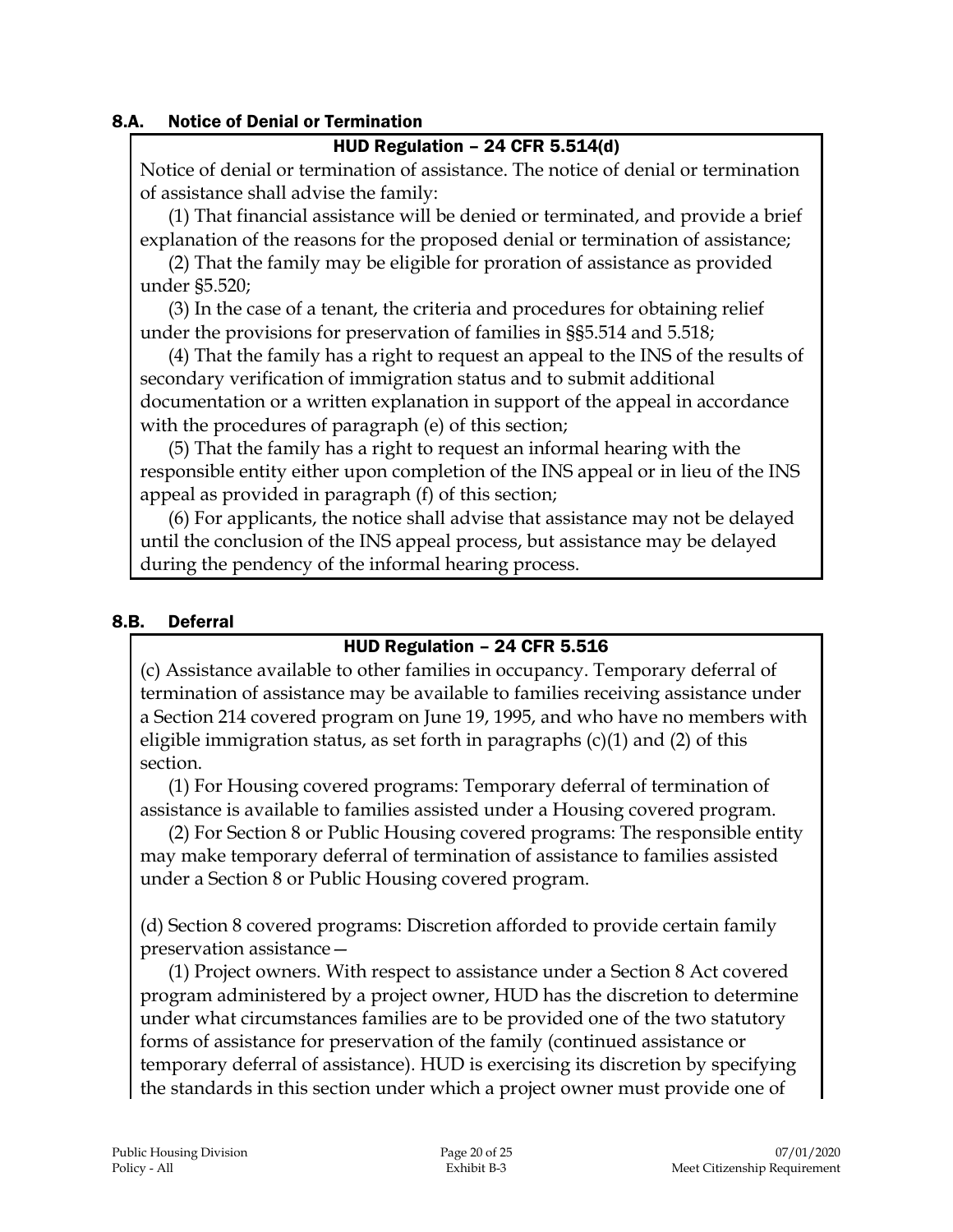#### 8.A. Notice of Denial or Termination

#### HUD Regulation – 24 CFR 5.514(d)

Notice of denial or termination of assistance. The notice of denial or termination of assistance shall advise the family:

(1) That financial assistance will be denied or terminated, and provide a brief explanation of the reasons for the proposed denial or termination of assistance;

(2) That the family may be eligible for proration of assistance as provided under §5.520;

(3) In the case of a tenant, the criteria and procedures for obtaining relief under the provisions for preservation of families in §§5.514 and 5.518;

(4) That the family has a right to request an appeal to the INS of the results of secondary verification of immigration status and to submit additional documentation or a written explanation in support of the appeal in accordance with the procedures of paragraph (e) of this section;

(5) That the family has a right to request an informal hearing with the responsible entity either upon completion of the INS appeal or in lieu of the INS appeal as provided in paragraph (f) of this section;

(6) For applicants, the notice shall advise that assistance may not be delayed until the conclusion of the INS appeal process, but assistance may be delayed during the pendency of the informal hearing process.

#### 8.B. Deferral

## HUD Regulation – 24 CFR 5.516

(c) Assistance available to other families in occupancy. Temporary deferral of termination of assistance may be available to families receiving assistance under a Section 214 covered program on June 19, 1995, and who have no members with eligible immigration status, as set forth in paragraphs  $(c)(1)$  and  $(2)$  of this section.

(1) For Housing covered programs: Temporary deferral of termination of assistance is available to families assisted under a Housing covered program.

(2) For Section 8 or Public Housing covered programs: The responsible entity may make temporary deferral of termination of assistance to families assisted under a Section 8 or Public Housing covered program.

(d) Section 8 covered programs: Discretion afforded to provide certain family preservation assistance—

(1) Project owners. With respect to assistance under a Section 8 Act covered program administered by a project owner, HUD has the discretion to determine under what circumstances families are to be provided one of the two statutory forms of assistance for preservation of the family (continued assistance or temporary deferral of assistance). HUD is exercising its discretion by specifying the standards in this section under which a project owner must provide one of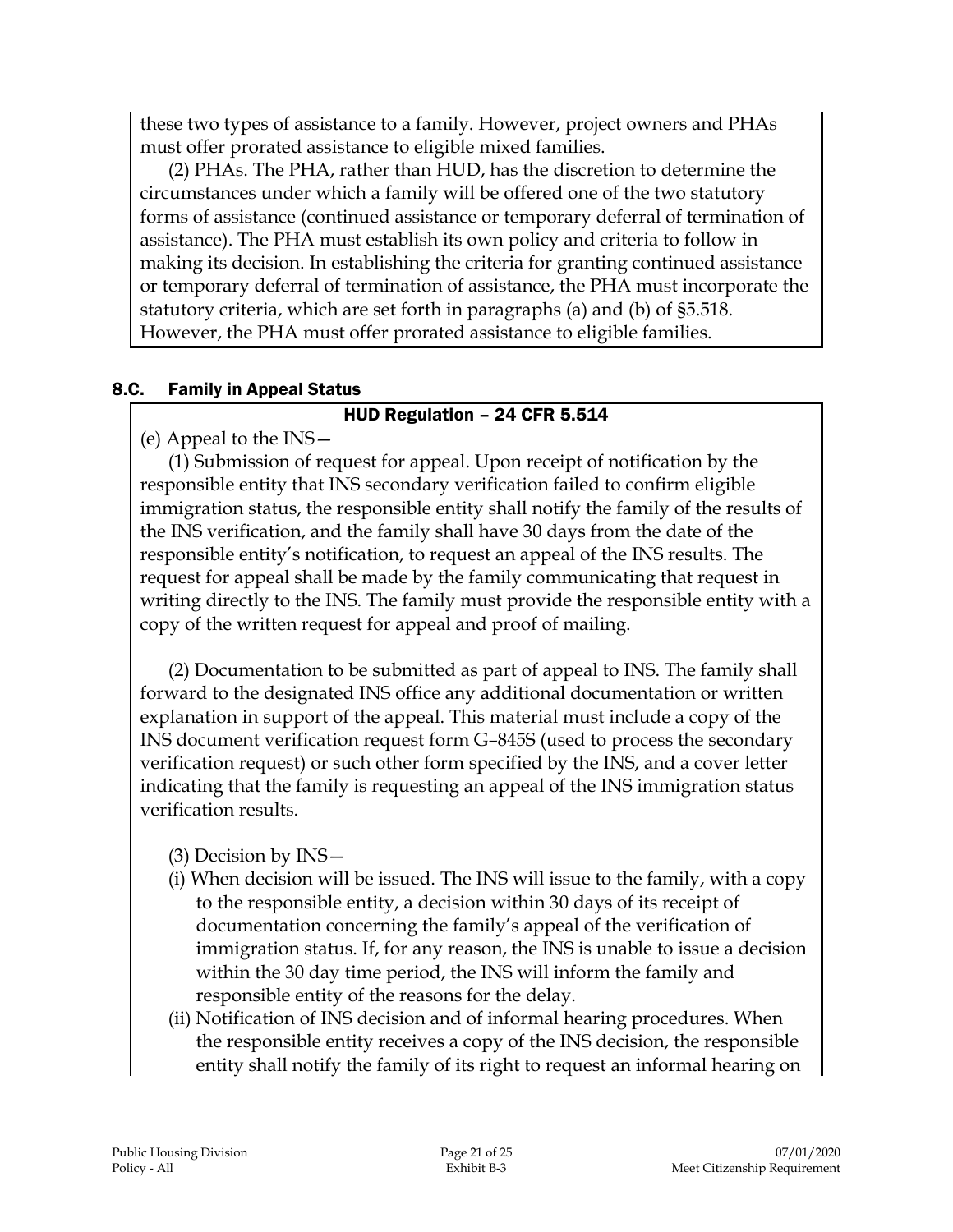these two types of assistance to a family. However, project owners and PHAs must offer prorated assistance to eligible mixed families.

(2) PHAs. The PHA, rather than HUD, has the discretion to determine the circumstances under which a family will be offered one of the two statutory forms of assistance (continued assistance or temporary deferral of termination of assistance). The PHA must establish its own policy and criteria to follow in making its decision. In establishing the criteria for granting continued assistance or temporary deferral of termination of assistance, the PHA must incorporate the statutory criteria, which are set forth in paragraphs (a) and (b) of §5.518. However, the PHA must offer prorated assistance to eligible families.

#### 8.C. Family in Appeal Status

#### HUD Regulation – 24 CFR 5.514

(e) Appeal to the INS—

(1) Submission of request for appeal. Upon receipt of notification by the responsible entity that INS secondary verification failed to confirm eligible immigration status, the responsible entity shall notify the family of the results of the INS verification, and the family shall have 30 days from the date of the responsible entity's notification, to request an appeal of the INS results. The request for appeal shall be made by the family communicating that request in writing directly to the INS. The family must provide the responsible entity with a copy of the written request for appeal and proof of mailing.

(2) Documentation to be submitted as part of appeal to INS. The family shall forward to the designated INS office any additional documentation or written explanation in support of the appeal. This material must include a copy of the INS document verification request form G–845S (used to process the secondary verification request) or such other form specified by the INS, and a cover letter indicating that the family is requesting an appeal of the INS immigration status verification results.

(3) Decision by INS—

- (i) When decision will be issued. The INS will issue to the family, with a copy to the responsible entity, a decision within 30 days of its receipt of documentation concerning the family's appeal of the verification of immigration status. If, for any reason, the INS is unable to issue a decision within the 30 day time period, the INS will inform the family and responsible entity of the reasons for the delay.
- (ii) Notification of INS decision and of informal hearing procedures. When the responsible entity receives a copy of the INS decision, the responsible entity shall notify the family of its right to request an informal hearing on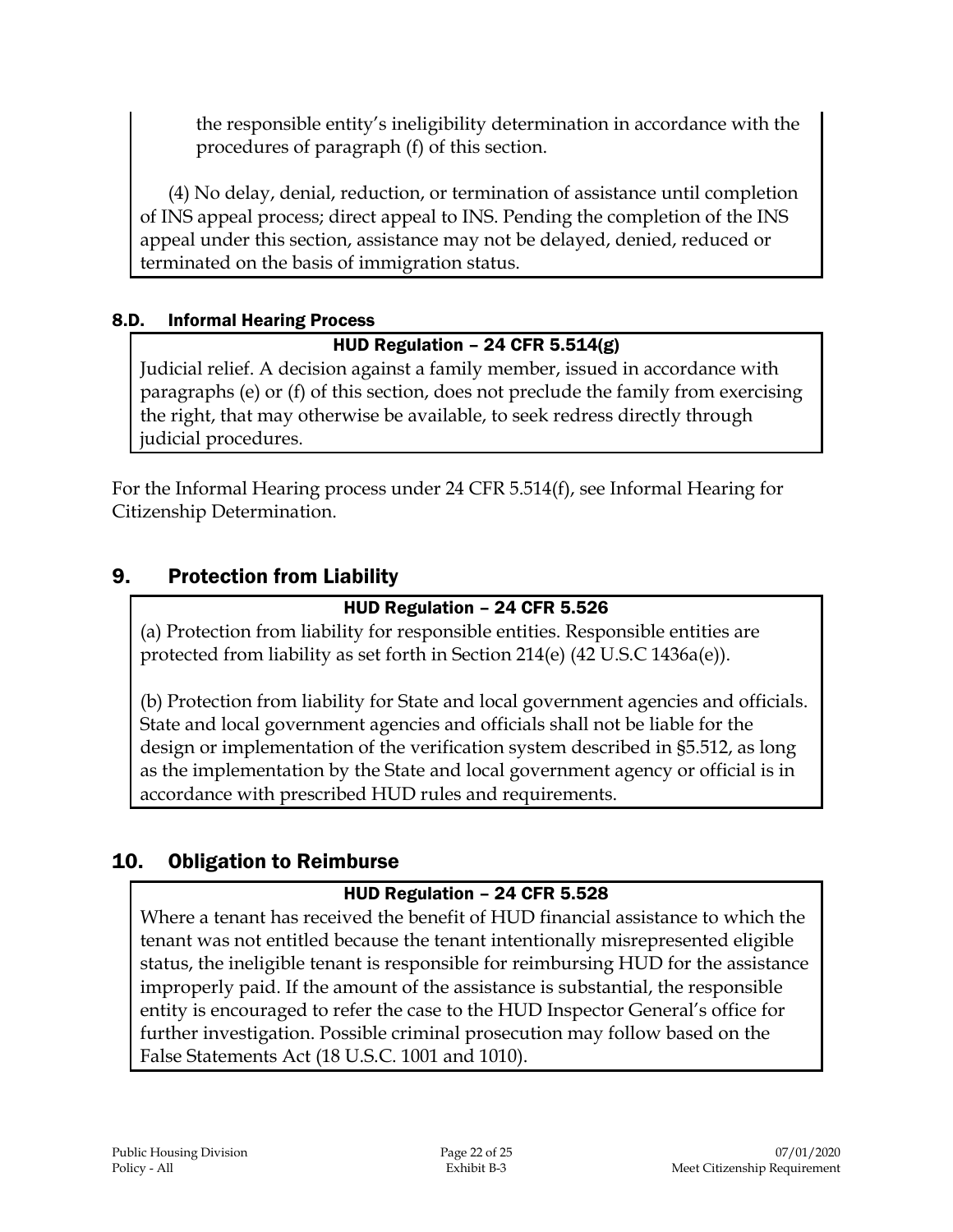the responsible entity's ineligibility determination in accordance with the procedures of paragraph (f) of this section.

(4) No delay, denial, reduction, or termination of assistance until completion of INS appeal process; direct appeal to INS. Pending the completion of the INS appeal under this section, assistance may not be delayed, denied, reduced or terminated on the basis of immigration status.

## 8.D. Informal Hearing Process

## HUD Regulation – 24 CFR 5.514(g)

Judicial relief. A decision against a family member, issued in accordance with paragraphs (e) or (f) of this section, does not preclude the family from exercising the right, that may otherwise be available, to seek redress directly through judicial procedures.

For the Informal Hearing process under 24 CFR 5.514(f), see Informal Hearing for Citizenship Determination.

# 9. Protection from Liability

#### HUD Regulation – 24 CFR 5.526

(a) Protection from liability for responsible entities. Responsible entities are protected from liability as set forth in Section 214(e) (42 U.S.C 1436a(e)).

(b) Protection from liability for State and local government agencies and officials. State and local government agencies and officials shall not be liable for the design or implementation of the verification system described in §5.512, as long as the implementation by the State and local government agency or official is in accordance with prescribed HUD rules and requirements.

## 10. Obligation to Reimburse

#### HUD Regulation – 24 CFR 5.528

Where a tenant has received the benefit of HUD financial assistance to which the tenant was not entitled because the tenant intentionally misrepresented eligible status, the ineligible tenant is responsible for reimbursing HUD for the assistance improperly paid. If the amount of the assistance is substantial, the responsible entity is encouraged to refer the case to the HUD Inspector General's office for further investigation. Possible criminal prosecution may follow based on the False Statements Act (18 U.S.C. 1001 and 1010).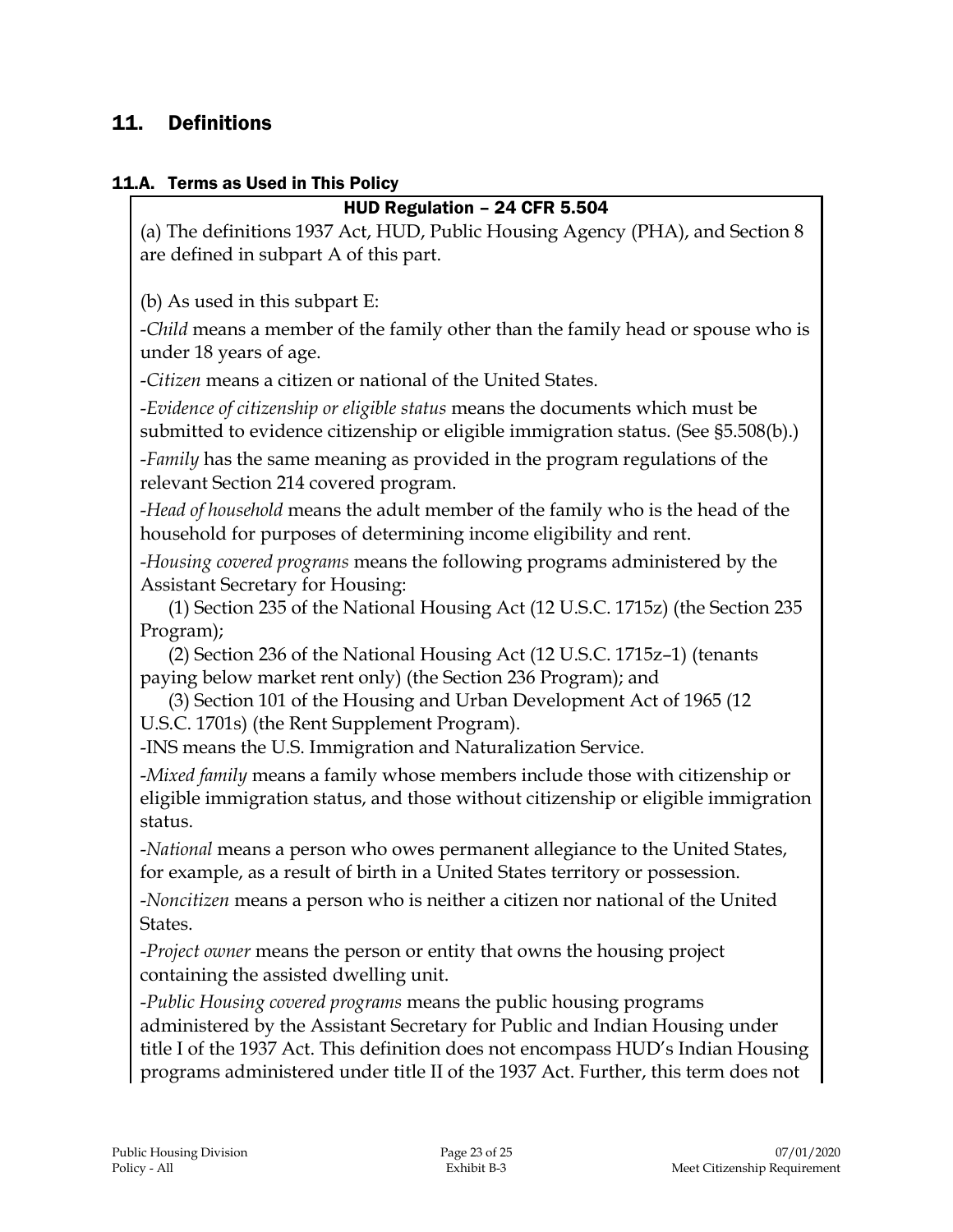# 11. Definitions

#### 11.A. Terms as Used in This Policy

# HUD Regulation – 24 CFR 5.504 (a) The definitions 1937 Act, HUD, Public Housing Agency (PHA), and Section 8 are defined in subpart A of this part. (b) As used in this subpart E: -*Child* means a member of the family other than the family head or spouse who is under 18 years of age. -*Citizen* means a citizen or national of the United States. -*Evidence of citizenship or eligible status* means the documents which must be submitted to evidence citizenship or eligible immigration status. (See §5.508(b).) -*Family* has the same meaning as provided in the program regulations of the relevant Section 214 covered program. -*Head of household* means the adult member of the family who is the head of the household for purposes of determining income eligibility and rent. -*Housing covered programs* means the following programs administered by the Assistant Secretary for Housing: (1) Section 235 of the National Housing Act (12 U.S.C. 1715z) (the Section 235 Program); (2) Section 236 of the National Housing Act (12 U.S.C. 1715z–1) (tenants paying below market rent only) (the Section 236 Program); and (3) Section 101 of the Housing and Urban Development Act of 1965 (12 U.S.C. 1701s) (the Rent Supplement Program). -INS means the U.S. Immigration and Naturalization Service. -*Mixed family* means a family whose members include those with citizenship or eligible immigration status, and those without citizenship or eligible immigration status. -*National* means a person who owes permanent allegiance to the United States, for example, as a result of birth in a United States territory or possession. -*Noncitizen* means a person who is neither a citizen nor national of the United States. -*Project owner* means the person or entity that owns the housing project containing the assisted dwelling unit. -*Public Housing covered programs* means the public housing programs administered by the Assistant Secretary for Public and Indian Housing under title I of the 1937 Act. This definition does not encompass HUD's Indian Housing programs administered under title II of the 1937 Act. Further, this term does not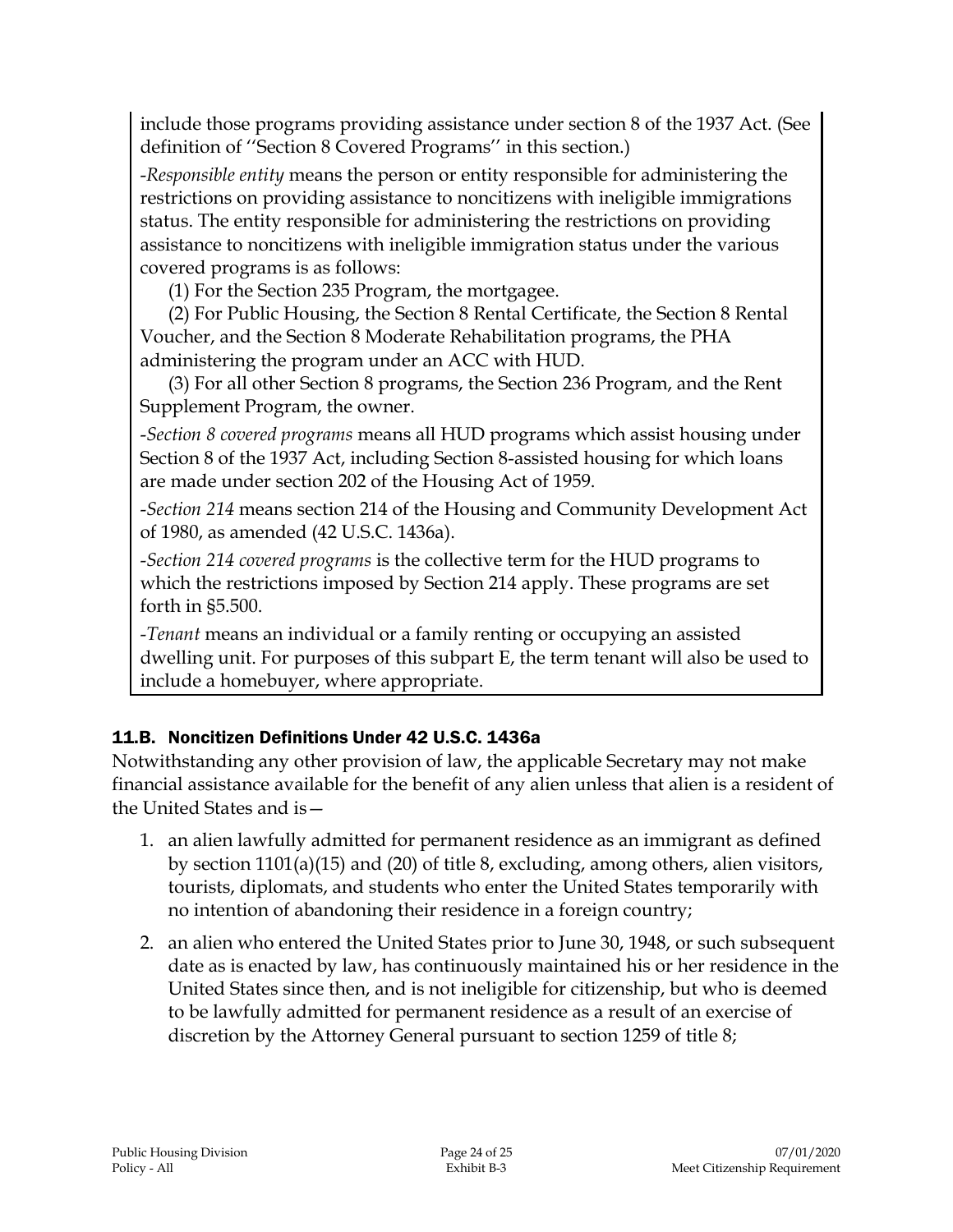include those programs providing assistance under section 8 of the 1937 Act. (See definition of ''Section 8 Covered Programs'' in this section.)

-*Responsible entity* means the person or entity responsible for administering the restrictions on providing assistance to noncitizens with ineligible immigrations status. The entity responsible for administering the restrictions on providing assistance to noncitizens with ineligible immigration status under the various covered programs is as follows:

(1) For the Section 235 Program, the mortgagee.

(2) For Public Housing, the Section 8 Rental Certificate, the Section 8 Rental Voucher, and the Section 8 Moderate Rehabilitation programs, the PHA administering the program under an ACC with HUD.

(3) For all other Section 8 programs, the Section 236 Program, and the Rent Supplement Program, the owner.

-*Section 8 covered programs* means all HUD programs which assist housing under Section 8 of the 1937 Act, including Section 8-assisted housing for which loans are made under section 202 of the Housing Act of 1959.

-*Section 214* means section 214 of the Housing and Community Development Act of 1980, as amended (42 U.S.C. 1436a).

-*Section 214 covered programs* is the collective term for the HUD programs to which the restrictions imposed by Section 214 apply. These programs are set forth in §5.500.

-*Tenant* means an individual or a family renting or occupying an assisted dwelling unit. For purposes of this subpart E, the term tenant will also be used to include a homebuyer, where appropriate.

# 11.B. Noncitizen Definitions Under 42 U.S.C. 1436a

Notwithstanding any other provision of law, the applicable Secretary may not make financial assistance available for the benefit of any alien unless that alien is a resident of the United States and is—

- 1. an alien lawfully admitted for permanent residence as an immigrant as defined by section 1101(a)(15) and (20) of title 8, excluding, among others, alien visitors, tourists, diplomats, and students who enter the United States temporarily with no intention of abandoning their residence in a foreign country;
- 2. an alien who entered the United States prior to June 30, 1948, or such subsequent date as is enacted by law, has continuously maintained his or her residence in the United States since then, and is not ineligible for citizenship, but who is deemed to be lawfully admitted for permanent residence as a result of an exercise of discretion by the Attorney General pursuant to section 1259 of title 8;